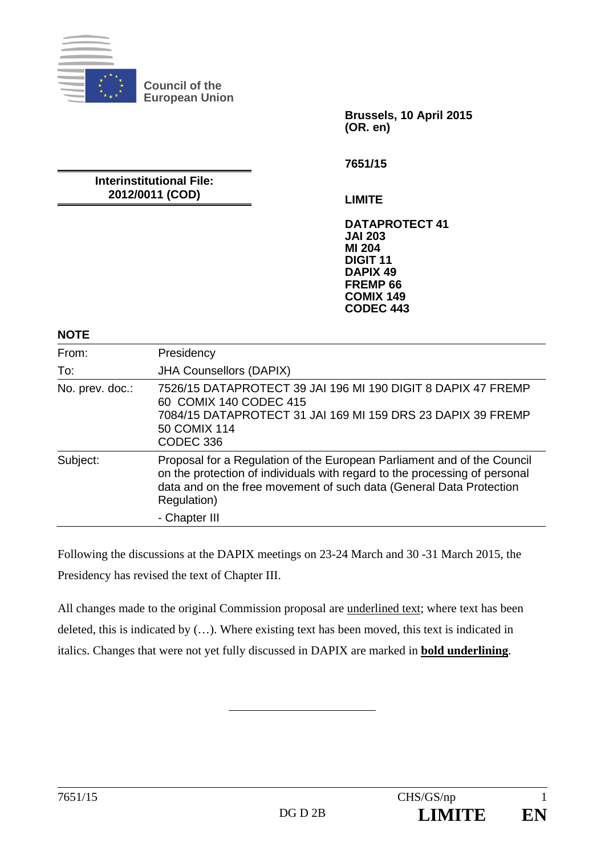

**Brussels, 10 April 2015 (OR. en)** 

**Interinstitutional File: 2012/0011 (COD)** 

**7651/15** 

**LIMITE** 

**DATAPROTECT 41 JAI 203 MI 204 DIGIT 11 DAPIX 49 FREMP 66 COMIX 149 CODEC 443**

**NOTE** 

| From:           | Presidency                                                                                                                                                                                                                                                   |
|-----------------|--------------------------------------------------------------------------------------------------------------------------------------------------------------------------------------------------------------------------------------------------------------|
| To:             | <b>JHA Counsellors (DAPIX)</b>                                                                                                                                                                                                                               |
| No. prev. doc.: | 7526/15 DATAPROTECT 39 JAI 196 MI 190 DIGIT 8 DAPIX 47 FREMP<br>60 COMIX 140 CODEC 415<br>7084/15 DATAPROTECT 31 JAI 169 MI 159 DRS 23 DAPIX 39 FREMP<br>50 COMIX 114<br>CODEC 336                                                                           |
| Subject:        | Proposal for a Regulation of the European Parliament and of the Council<br>on the protection of individuals with regard to the processing of personal<br>data and on the free movement of such data (General Data Protection<br>Regulation)<br>- Chapter III |

Following the discussions at the DAPIX meetings on 23-24 March and 30 -31 March 2015, the Presidency has revised the text of Chapter III.

All changes made to the original Commission proposal are underlined text; where text has been deleted, this is indicated by (…). Where existing text has been moved, this text is indicated in italics. Changes that were not yet fully discussed in DAPIX are marked in **bold underlining**.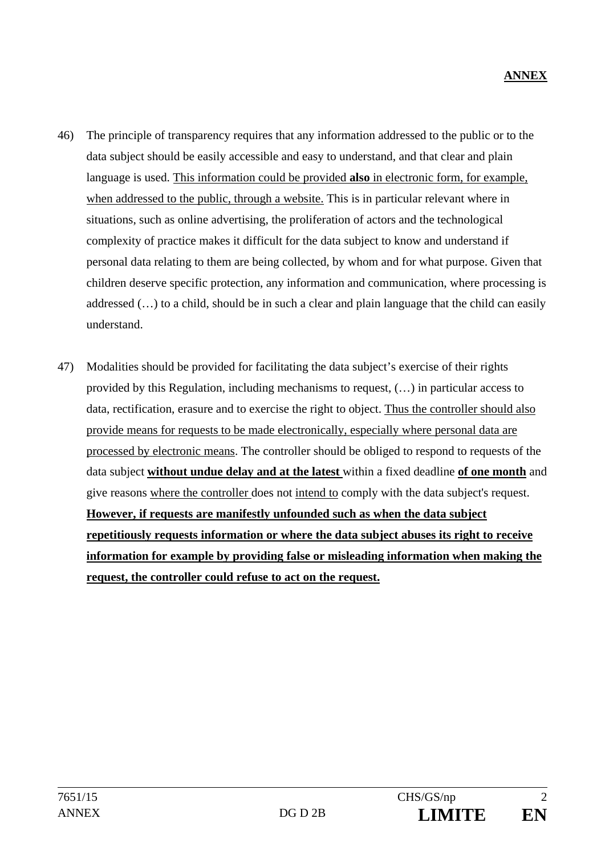- 46) The principle of transparency requires that any information addressed to the public or to the data subject should be easily accessible and easy to understand, and that clear and plain language is used. This information could be provided **also** in electronic form, for example, when addressed to the public, through a website. This is in particular relevant where in situations, such as online advertising, the proliferation of actors and the technological complexity of practice makes it difficult for the data subject to know and understand if personal data relating to them are being collected, by whom and for what purpose. Given that children deserve specific protection, any information and communication, where processing is addressed (…) to a child, should be in such a clear and plain language that the child can easily understand.
- 47) Modalities should be provided for facilitating the data subject's exercise of their rights provided by this Regulation, including mechanisms to request, (…) in particular access to data, rectification, erasure and to exercise the right to object. Thus the controller should also provide means for requests to be made electronically, especially where personal data are processed by electronic means. The controller should be obliged to respond to requests of the data subject **without undue delay and at the latest** within a fixed deadline **of one month** and give reasons where the controller does not intend to comply with the data subject's request. **However, if requests are manifestly unfounded such as when the data subject repetitiously requests information or where the data subject abuses its right to receive information for example by providing false or misleading information when making the request, the controller could refuse to act on the request.**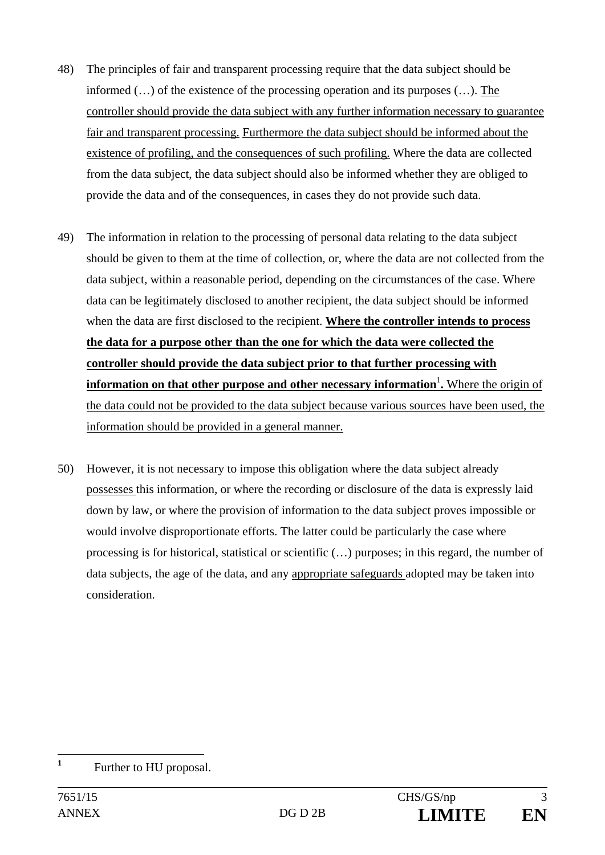- 48) The principles of fair and transparent processing require that the data subject should be informed (…) of the existence of the processing operation and its purposes (…). The controller should provide the data subject with any further information necessary to guarantee fair and transparent processing. Furthermore the data subject should be informed about the existence of profiling, and the consequences of such profiling. Where the data are collected from the data subject, the data subject should also be informed whether they are obliged to provide the data and of the consequences, in cases they do not provide such data.
- 49) The information in relation to the processing of personal data relating to the data subject should be given to them at the time of collection, or, where the data are not collected from the data subject, within a reasonable period, depending on the circumstances of the case. Where data can be legitimately disclosed to another recipient, the data subject should be informed when the data are first disclosed to the recipient. **Where the controller intends to process the data for a purpose other than the one for which the data were collected the controller should provide the data subject prior to that further processing with information on that other purpose and other necessary information<sup>1</sup>. Where the origin of** the data could not be provided to the data subject because various sources have been used, the information should be provided in a general manner.
- 50) However, it is not necessary to impose this obligation where the data subject already possesses this information, or where the recording or disclosure of the data is expressly laid down by law, or where the provision of information to the data subject proves impossible or would involve disproportionate efforts. The latter could be particularly the case where processing is for historical, statistical or scientific (…) purposes; in this regard, the number of data subjects, the age of the data, and any appropriate safeguards adopted may be taken into consideration.

 **1** Further to HU proposal.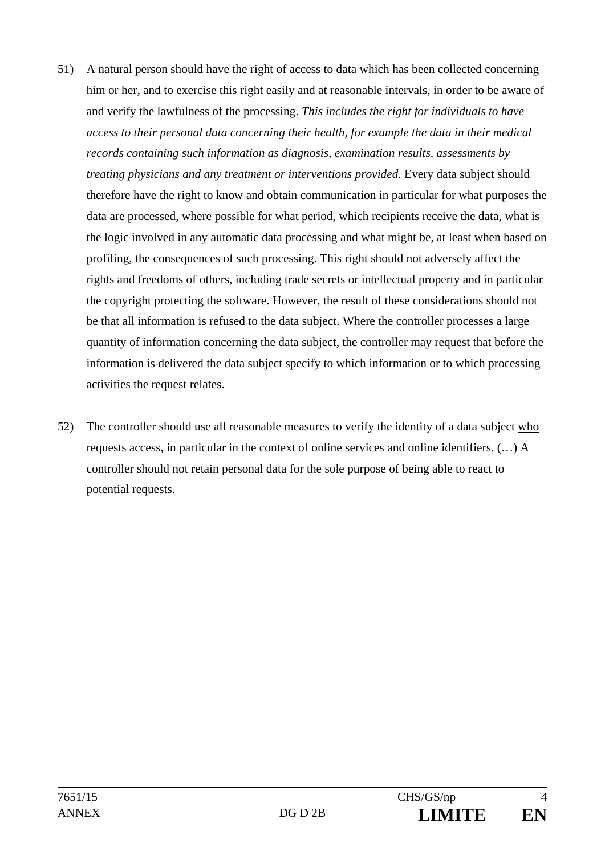- 51) A natural person should have the right of access to data which has been collected concerning him or her, and to exercise this right easily and at reasonable intervals, in order to be aware of and verify the lawfulness of the processing. *This includes the right for individuals to have access to their personal data concerning their health, for example the data in their medical records containing such information as diagnosis, examination results, assessments by treating physicians and any treatment or interventions provided.* Every data subject should therefore have the right to know and obtain communication in particular for what purposes the data are processed, where possible for what period, which recipients receive the data, what is the logic involved in any automatic data processing and what might be, at least when based on profiling, the consequences of such processing. This right should not adversely affect the rights and freedoms of others, including trade secrets or intellectual property and in particular the copyright protecting the software. However, the result of these considerations should not be that all information is refused to the data subject. Where the controller processes a large quantity of information concerning the data subject, the controller may request that before the information is delivered the data subject specify to which information or to which processing activities the request relates.
- 52) The controller should use all reasonable measures to verify the identity of a data subject who requests access, in particular in the context of online services and online identifiers. (…) A controller should not retain personal data for the sole purpose of being able to react to potential requests.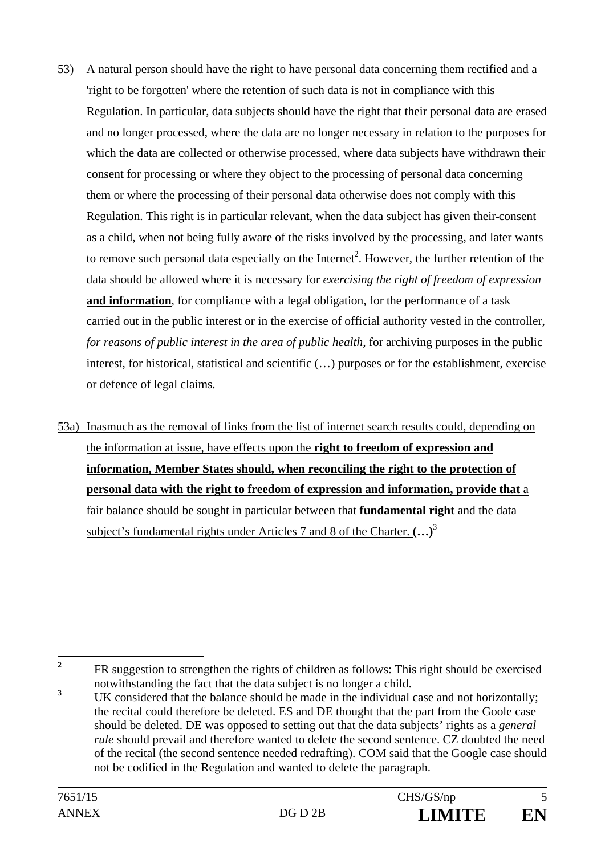- 53) A natural person should have the right to have personal data concerning them rectified and a 'right to be forgotten' where the retention of such data is not in compliance with this Regulation. In particular, data subjects should have the right that their personal data are erased and no longer processed, where the data are no longer necessary in relation to the purposes for which the data are collected or otherwise processed, where data subjects have withdrawn their consent for processing or where they object to the processing of personal data concerning them or where the processing of their personal data otherwise does not comply with this Regulation. This right is in particular relevant, when the data subject has given their consent as a child, when not being fully aware of the risks involved by the processing, and later wants to remove such personal data especially on the Internet<sup>2</sup>. However, the further retention of the data should be allowed where it is necessary for *exercising the right of freedom of expression* and information, for compliance with a legal obligation, for the performance of a task carried out in the public interest or in the exercise of official authority vested in the controller, *for reasons of public interest in the area of public health,* for archiving purposes in the public interest, for historical, statistical and scientific (…) purposes or for the establishment, exercise or defence of legal claims.
- 53a) Inasmuch as the removal of links from the list of internet search results could, depending on the information at issue, have effects upon the **right to freedom of expression and information, Member States should, when reconciling the right to the protection of personal data with the right to freedom of expression and information, provide that** a fair balance should be sought in particular between that **fundamental right** and the data subject's fundamental rights under Articles 7 and 8 of the Charter. **(…)**<sup>3</sup>

 **2** FR suggestion to strengthen the rights of children as follows: This right should be exercised notwithstanding the fact that the data subject is no longer a child.

**<sup>3</sup>** UK considered that the balance should be made in the individual case and not horizontally; the recital could therefore be deleted. ES and DE thought that the part from the Goole case should be deleted. DE was opposed to setting out that the data subjects' rights as a *general rule* should prevail and therefore wanted to delete the second sentence. CZ doubted the need of the recital (the second sentence needed redrafting). COM said that the Google case should not be codified in the Regulation and wanted to delete the paragraph.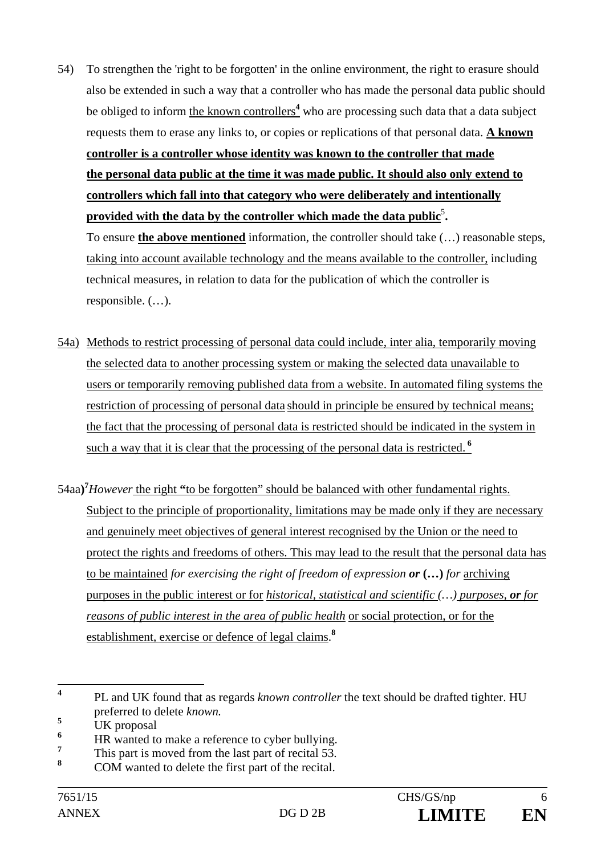54) To strengthen the 'right to be forgotten' in the online environment, the right to erasure should also be extended in such a way that a controller who has made the personal data public should be obliged to inform the known controllers<sup>4</sup> who are processing such data that a data subject requests them to erase any links to, or copies or replications of that personal data. **A known controller is a controller whose identity was known to the controller that made the personal data public at the time it was made public. It should also only extend to controllers which fall into that category who were deliberately and intentionally**  provided with the data by the controller which made the data public<sup>5</sup>.

To ensure **the above mentioned** information, the controller should take (…) reasonable steps, taking into account available technology and the means available to the controller, including technical measures, in relation to data for the publication of which the controller is responsible. (…).

- 54a) Methods to restrict processing of personal data could include, inter alia, temporarily moving the selected data to another processing system or making the selected data unavailable to users or temporarily removing published data from a website. In automated filing systems the restriction of processing of personal data should in principle be ensured by technical means; the fact that the processing of personal data is restricted should be indicated in the system in such a way that it is clear that the processing of the personal data is restricted.**<sup>6</sup>**
- 54aa**) 7** *However* the right **"**to be forgotten" should be balanced with other fundamental rights. Subject to the principle of proportionality, limitations may be made only if they are necessary and genuinely meet objectives of general interest recognised by the Union or the need to protect the rights and freedoms of others. This may lead to the result that the personal data has to be maintained *for exercising the right of freedom of expression or* **(…)** *for* archiving purposes in the public interest or for *historical, statistical and scientific (…) purposes, or for reasons of public interest in the area of public health* or social protection, or for the establishment, exercise or defence of legal claims.**<sup>8</sup>**

 **4** PL and UK found that as regards *known controller* the text should be drafted tighter. HU preferred to delete *known.* 

**<sup>5</sup>** UK proposal

**<sup>6</sup>** HR wanted to make a reference to cyber bullying.

**<sup>7</sup>** This part is moved from the last part of recital 53.

**<sup>8</sup>** COM wanted to delete the first part of the recital.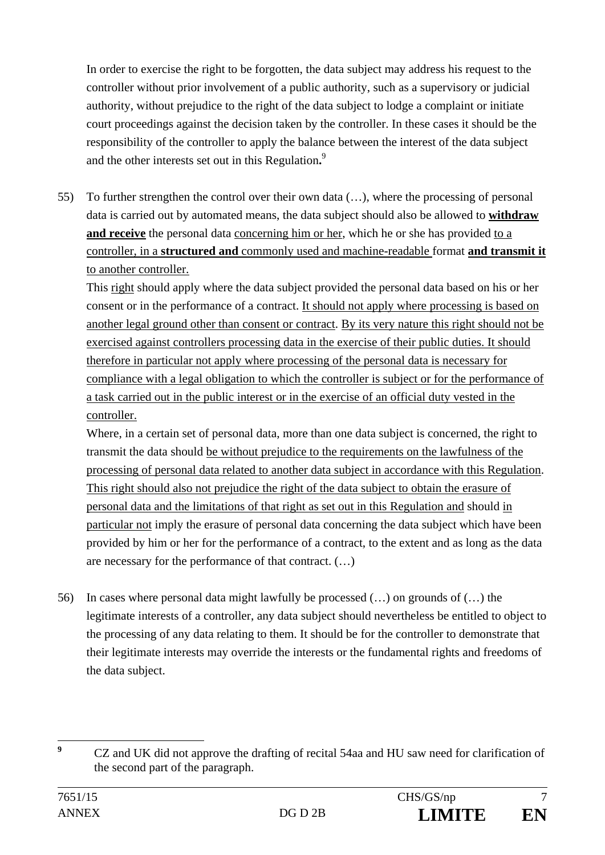In order to exercise the right to be forgotten, the data subject may address his request to the controller without prior involvement of a public authority, such as a supervisory or judicial authority, without prejudice to the right of the data subject to lodge a complaint or initiate court proceedings against the decision taken by the controller. In these cases it should be the responsibility of the controller to apply the balance between the interest of the data subject and the other interests set out in this Regulation**.** 9

55) To further strengthen the control over their own data (…), where the processing of personal data is carried out by automated means, the data subject should also be allowed to **withdraw and receive** the personal data concerning him or her, which he or she has provided to a controller, in a **structured and** commonly used and machine-readable format **and transmit it** to another controller.

This right should apply where the data subject provided the personal data based on his or her consent or in the performance of a contract. It should not apply where processing is based on another legal ground other than consent or contract. By its very nature this right should not be exercised against controllers processing data in the exercise of their public duties. It should therefore in particular not apply where processing of the personal data is necessary for compliance with a legal obligation to which the controller is subject or for the performance of a task carried out in the public interest or in the exercise of an official duty vested in the controller.

Where, in a certain set of personal data, more than one data subject is concerned, the right to transmit the data should be without prejudice to the requirements on the lawfulness of the processing of personal data related to another data subject in accordance with this Regulation. This right should also not prejudice the right of the data subject to obtain the erasure of personal data and the limitations of that right as set out in this Regulation and should in particular not imply the erasure of personal data concerning the data subject which have been provided by him or her for the performance of a contract, to the extent and as long as the data are necessary for the performance of that contract. (…)

56) In cases where personal data might lawfully be processed (…) on grounds of (…) the legitimate interests of a controller, any data subject should nevertheless be entitled to object to the processing of any data relating to them. It should be for the controller to demonstrate that their legitimate interests may override the interests or the fundamental rights and freedoms of the data subject.

 **9** CZ and UK did not approve the drafting of recital 54aa and HU saw need for clarification of the second part of the paragraph.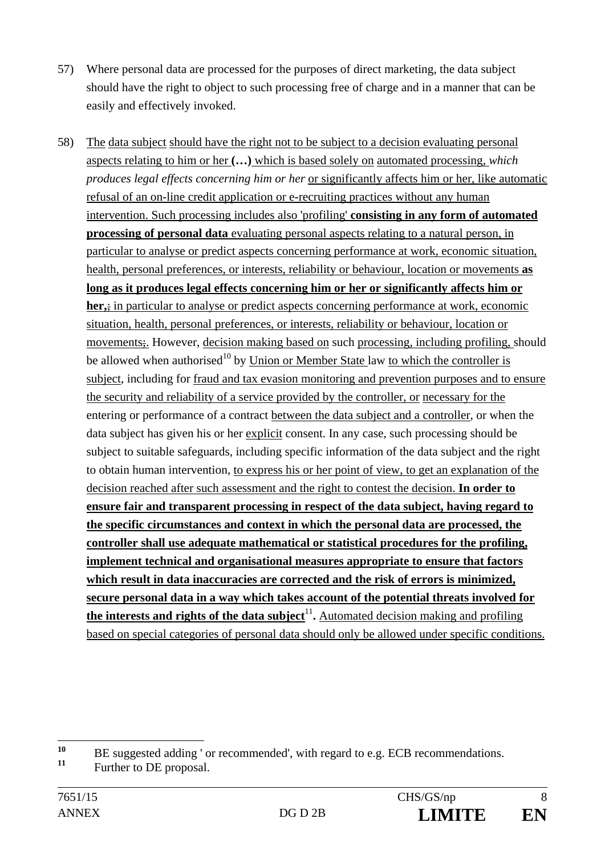- 57) Where personal data are processed for the purposes of direct marketing, the data subject should have the right to object to such processing free of charge and in a manner that can be easily and effectively invoked.
- 58) The data subject should have the right not to be subject to a decision evaluating personal aspects relating to him or her **(…)** which is based solely on automated processing, *which produces legal effects concerning him or her* or significantly affects him or her, like automatic refusal of an on-line credit application or e-recruiting practices without any human intervention. Such processing includes also 'profiling' **consisting in any form of automated processing of personal data** evaluating personal aspects relating to a natural person, in particular to analyse or predict aspects concerning performance at work, economic situation, health, personal preferences, or interests, reliability or behaviour, location or movements **as long as it produces legal effects concerning him or her or significantly affects him or her,**; in particular to analyse or predict aspects concerning performance at work, economic situation, health, personal preferences, or interests, reliability or behaviour, location or movements;. However, decision making based on such processing, including profiling, should be allowed when authorised<sup>10</sup> by Union or Member State law to which the controller is subject, including for fraud and tax evasion monitoring and prevention purposes and to ensure the security and reliability of a service provided by the controller, or necessary for the entering or performance of a contract between the data subject and a controller, or when the data subject has given his or her explicit consent. In any case, such processing should be subject to suitable safeguards, including specific information of the data subject and the right to obtain human intervention, to express his or her point of view, to get an explanation of the decision reached after such assessment and the right to contest the decision. **In order to ensure fair and transparent processing in respect of the data subject, having regard to the specific circumstances and context in which the personal data are processed, the controller shall use adequate mathematical or statistical procedures for the profiling, implement technical and organisational measures appropriate to ensure that factors which result in data inaccuracies are corrected and the risk of errors is minimized, secure personal data in a way which takes account of the potential threats involved for the interests and rights of the data subject<sup>11</sup>.** Automated decision making and profiling based on special categories of personal data should only be allowed under specific conditions.

 $10$ <sup>10</sup> BE suggested adding ' or recommended', with regard to e.g. ECB recommendations.

Further to DE proposal.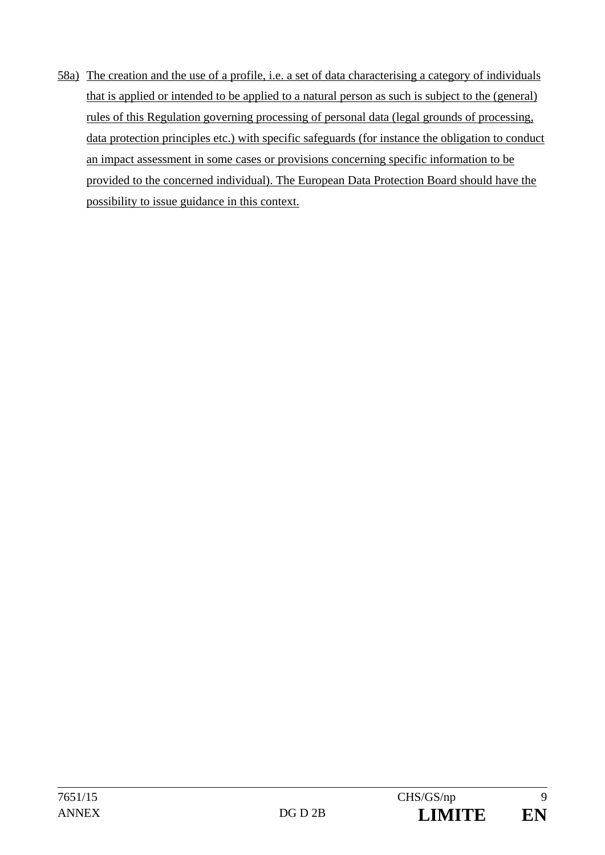58a) The creation and the use of a profile, i.e. a set of data characterising a category of individuals that is applied or intended to be applied to a natural person as such is subject to the (general) rules of this Regulation governing processing of personal data (legal grounds of processing, data protection principles etc.) with specific safeguards (for instance the obligation to conduct an impact assessment in some cases or provisions concerning specific information to be provided to the concerned individual). The European Data Protection Board should have the possibility to issue guidance in this context.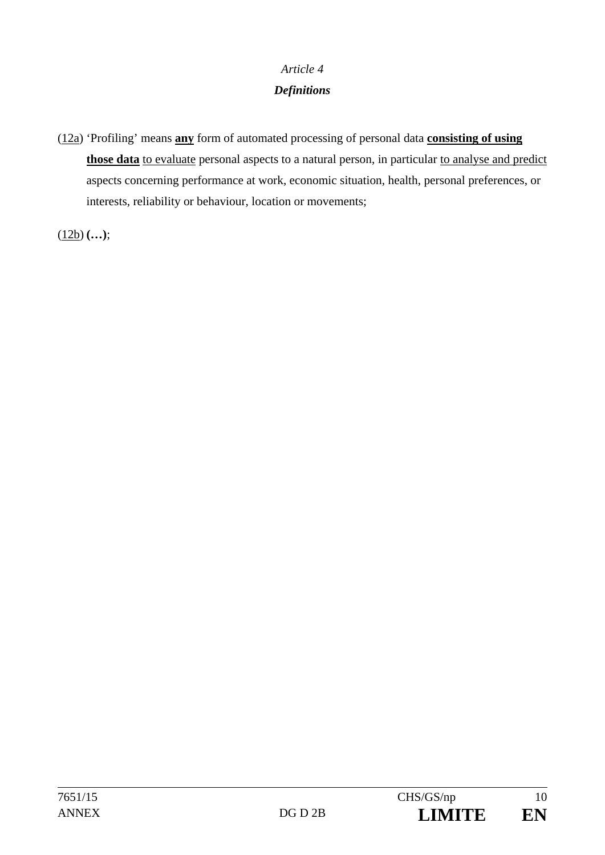### *Article 4*

# *Definitions*

(12a) 'Profiling' means **any** form of automated processing of personal data **consisting of using** those data to evaluate personal aspects to a natural person, in particular to analyse and predict aspects concerning performance at work, economic situation, health, personal preferences, or interests, reliability or behaviour, location or movements;

 $(12b)$   $(...);$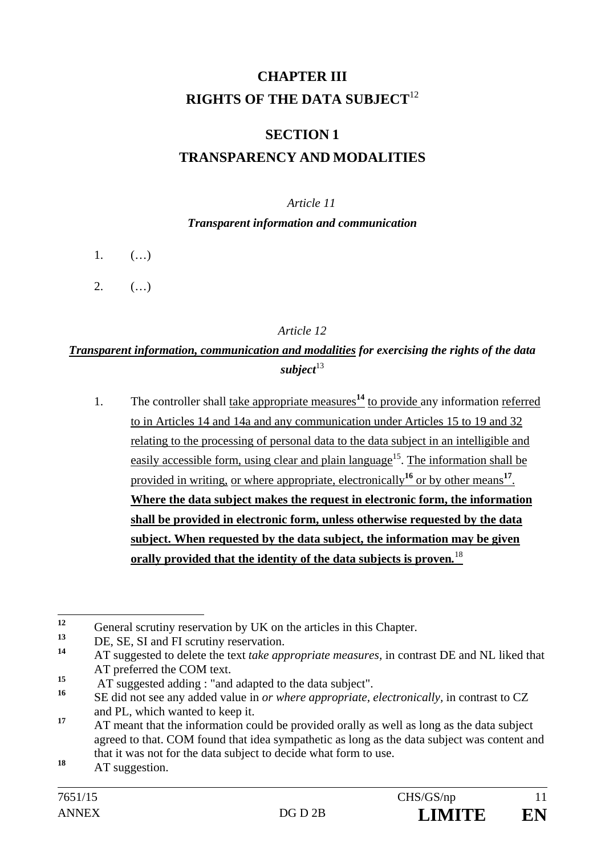# **CHAPTER III RIGHTS OF THE DATA SUBJECT**<sup>12</sup>

# **SECTION 1 TRANSPARENCY AND MODALITIES**

### *Article 11*

#### *Transparent information and communication*

- $1.$   $($ ...)
- $2.$  (...)

### *Article 12*

# *Transparent information, communication and modalities for exercising the rights of the data*  subject<sup>13</sup>

1. The controller shall take appropriate measures**<sup>14</sup>** to provide any information referred to in Articles 14 and 14a and any communication under Articles 15 to 19 and 32 relating to the processing of personal data to the data subject in an intelligible and easily accessible form, using clear and plain language<sup>15</sup>. The information shall be provided in writing, or where appropriate, electronically**<sup>16</sup>** or by other means**<sup>17</sup>**. **Where the data subject makes the request in electronic form, the information shall be provided in electronic form, unless otherwise requested by the data subject. When requested by the data subject, the information may be given orally provided that the identity of the data subjects is proven***.* 18

 $12.$ <sup>12</sup> General scrutiny reservation by UK on the articles in this Chapter.

<sup>&</sup>lt;sup>13</sup> DE, SE, SI and FI scrutiny reservation.

**<sup>14</sup>** AT suggested to delete the text *take appropriate measures,* in contrast DE and NL liked that AT preferred the COM text.

<sup>&</sup>lt;sup>15</sup> AT suggested adding : "and adapted to the data subject".

**<sup>16</sup>** SE did not see any added value in *or where appropriate, electronically,* in contrast to CZ and PL, which wanted to keep it.

<sup>&</sup>lt;sup>17</sup> AT meant that the information could be provided orally as well as long as the data subject agreed to that. COM found that idea sympathetic as long as the data subject was content and that it was not for the data subject to decide what form to use.

<sup>18</sup> AT suggestion.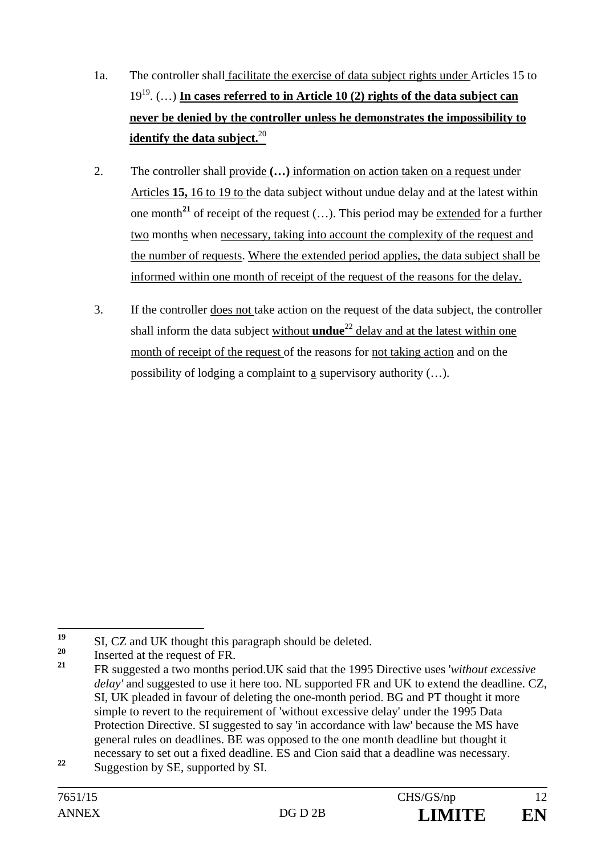- 1a. The controller shall facilitate the exercise of data subject rights under Articles 15 to 1919. (…) **In cases referred to in Article 10 (2) rights of the data subject can never be denied by the controller unless he demonstrates the impossibility to identify the data subject.**<sup>20</sup>
- 2. The controller shall provide **(…)** information on action taken on a request under Articles **15,** 16 to 19 to the data subject without undue delay and at the latest within one month<sup>21</sup> of receipt of the request  $(...)$ . This period may be extended for a further two months when necessary, taking into account the complexity of the request and the number of requests. Where the extended period applies, the data subject shall be informed within one month of receipt of the request of the reasons for the delay.
- 3. If the controller does not take action on the request of the data subject, the controller shall inform the data subject without **undue**<sup>22</sup> delay and at the latest within one month of receipt of the request of the reasons for not taking action and on the possibility of lodging a complaint to a supervisory authority (…).

 $19$ <sup>19</sup> SI, CZ and UK thought this paragraph should be deleted.

 $^{20}$  Inserted at the request of FR.

**<sup>21</sup>** FR suggested a two months period.UK said that the 1995 Directive uses '*without excessive delay'* and suggested to use it here too*.* NL supported FR and UK to extend the deadline. CZ, SI, UK pleaded in favour of deleting the one-month period. BG and PT thought it more simple to revert to the requirement of 'without excessive delay' under the 1995 Data Protection Directive. SI suggested to say 'in accordance with law' because the MS have general rules on deadlines. BE was opposed to the one month deadline but thought it necessary to set out a fixed deadline. ES and Cion said that a deadline was necessary.

<sup>&</sup>lt;sup>22</sup> Suggestion by SE, supported by SI.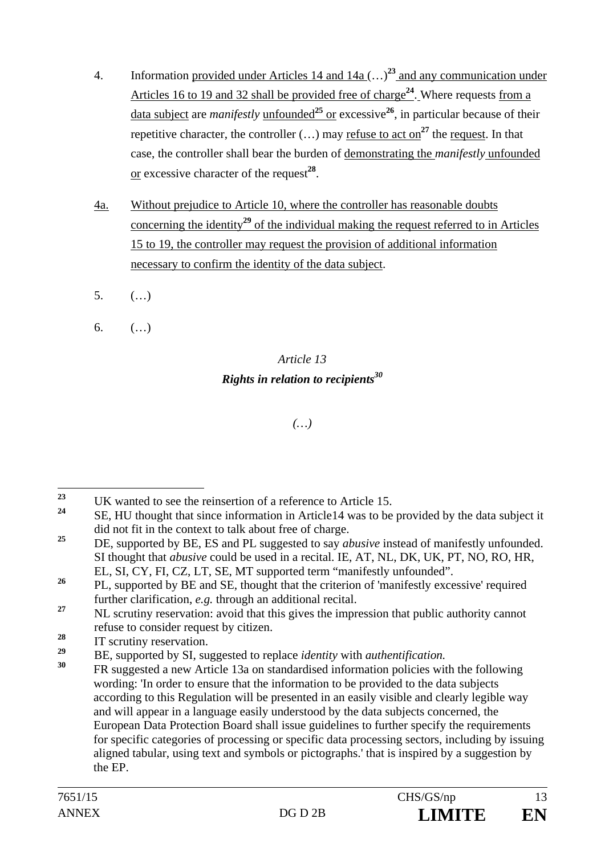- 4. Information provided under Articles 14 and 14a (…)**<sup>23</sup>** and any communication under Articles 16 to 19 and 32 shall be provided free of charge**<sup>24</sup>**. Where requests from a data subject are *manifestly* unfounded**<sup>25</sup>** or excessive**<sup>26</sup>**, in particular because of their repetitive character, the controller  $(...)$  may refuse to act on<sup>27</sup> the request. In that case, the controller shall bear the burden of demonstrating the *manifestly* unfounded or excessive character of the request**<sup>28</sup>**.
- 4a. Without prejudice to Article 10, where the controller has reasonable doubts concerning the identity**<sup>29</sup>** of the individual making the request referred to in Articles 15 to 19, the controller may request the provision of additional information necessary to confirm the identity of the data subject.
- $5.$   $($ ...)
- 6.  $($ ...)

# *Article 13 Rights in relation to recipients30*

## *(…)*

<sup>28</sup> IT scrutiny reservation.

 $2<sub>3</sub>$ <sup>23</sup> UK wanted to see the reinsertion of a reference to Article 15.

**<sup>24</sup>** SE, HU thought that since information in Article14 was to be provided by the data subject it did not fit in the context to talk about free of charge.

<sup>&</sup>lt;sup>25</sup> DE, supported by BE, ES and PL suggested to say *abusive* instead of manifestly unfounded. SI thought that *abusive* could be used in a recital. IE, AT, NL, DK, UK, PT, NO, RO, HR, EL, SI, CY, FI, CZ, LT, SE, MT supported term "manifestly unfounded".

<sup>&</sup>lt;sup>26</sup> PL, supported by BE and SE, thought that the criterion of 'manifestly excessive' required further clarification, *e.g.* through an additional recital.

<sup>&</sup>lt;sup>27</sup> NL scrutiny reservation: avoid that this gives the impression that public authority cannot refuse to consider request by citizen.

**<sup>29</sup>** BE, supported by SI, suggested to replace *identity* with *authentification.* 

**<sup>30</sup>** FR suggested a new Article 13a on standardised information policies with the following wording: 'In order to ensure that the information to be provided to the data subjects according to this Regulation will be presented in an easily visible and clearly legible way and will appear in a language easily understood by the data subjects concerned, the European Data Protection Board shall issue guidelines to further specify the requirements for specific categories of processing or specific data processing sectors, including by issuing aligned tabular, using text and symbols or pictographs.' that is inspired by a suggestion by the EP.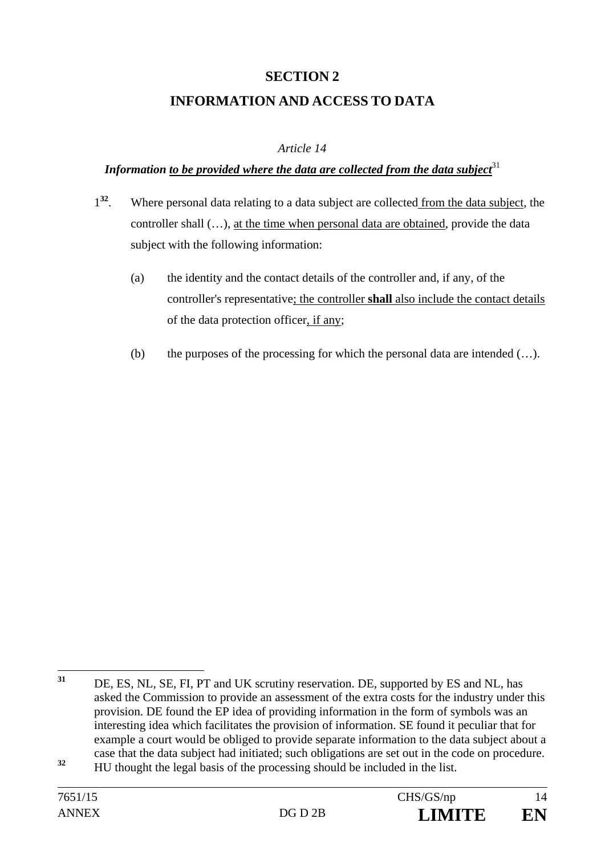# **SECTION 2 INFORMATION AND ACCESS TO DATA**

### *Article 14*

#### *Information to be provided where the data are collected from the data subject* $31$

- 1**<sup>32</sup>**. Where personal data relating to a data subject are collected from the data subject, the controller shall (…), at the time when personal data are obtained, provide the data subject with the following information:
	- (a) the identity and the contact details of the controller and, if any, of the controller's representative; the controller **shall** also include the contact details of the data protection officer, if any;
	- (b) the purposes of the processing for which the personal data are intended  $(\ldots)$ .

<sup>31</sup> DE, ES, NL, SE, FI, PT and UK scrutiny reservation. DE, supported by ES and NL, has asked the Commission to provide an assessment of the extra costs for the industry under this provision. DE found the EP idea of providing information in the form of symbols was an interesting idea which facilitates the provision of information. SE found it peculiar that for example a court would be obliged to provide separate information to the data subject about a case that the data subject had initiated; such obligations are set out in the code on procedure.

**<sup>32</sup>** HU thought the legal basis of the processing should be included in the list.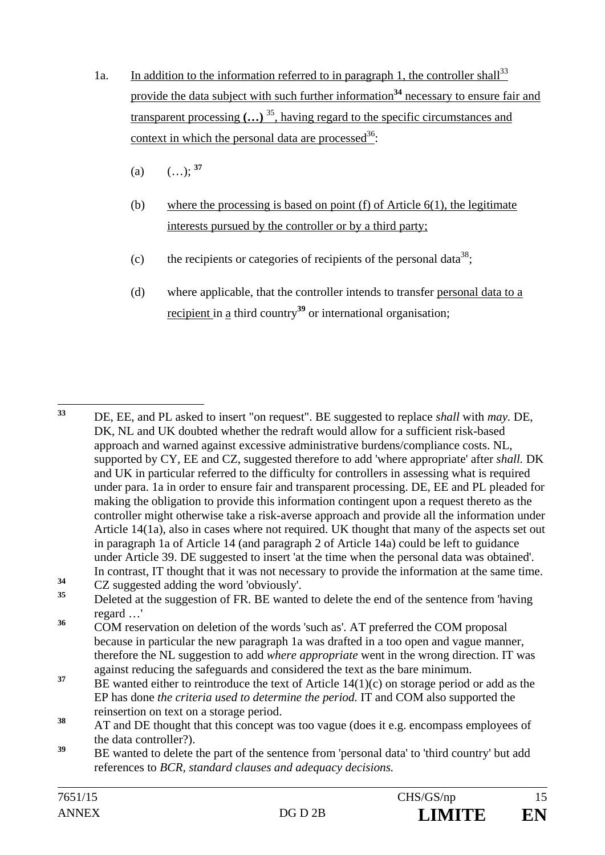- 1a. In addition to the information referred to in paragraph 1, the controller shall<sup>33</sup> provide the data subject with such further information**<sup>34</sup>** necessary to ensure fair and transparent processing **(…)** 35, having regard to the specific circumstances and context in which the personal data are processed<sup>36</sup>:
	- (a)  $(...);$ <sup>37</sup>
	- (b) where the processing is based on point  $(f)$  of Article  $6(1)$ , the legitimate interests pursued by the controller or by a third party;
	- (c) the recipients or categories of recipients of the personal data<sup>38</sup>;
	- (d) where applicable, that the controller intends to transfer personal data to a recipient in a third country**<sup>39</sup>** or international organisation;

33 **<sup>33</sup>** DE, EE, and PL asked to insert "on request". BE suggested to replace *shall* with *may.* DE, DK, NL and UK doubted whether the redraft would allow for a sufficient risk-based approach and warned against excessive administrative burdens/compliance costs. NL, supported by CY, EE and CZ, suggested therefore to add 'where appropriate' after *shall.* DK and UK in particular referred to the difficulty for controllers in assessing what is required under para. 1a in order to ensure fair and transparent processing. DE, EE and PL pleaded for making the obligation to provide this information contingent upon a request thereto as the controller might otherwise take a risk-averse approach and provide all the information under Article 14(1a), also in cases where not required. UK thought that many of the aspects set out in paragraph 1a of Article 14 (and paragraph 2 of Article 14a) could be left to guidance under Article 39. DE suggested to insert 'at the time when the personal data was obtained'. In contrast, IT thought that it was not necessary to provide the information at the same time.

**<sup>34</sup>** CZ suggested adding the word 'obviously'.

<sup>39</sup> BE wanted to delete the part of the sentence from 'personal data' to 'third country' but add references to *BCR, standard clauses and adequacy decisions.* 

Deleted at the suggestion of FR. BE wanted to delete the end of the sentence from 'having regard …'

<sup>&</sup>lt;sup>36</sup> COM reservation on deletion of the words 'such as'. AT preferred the COM proposal because in particular the new paragraph 1a was drafted in a too open and vague manner, therefore the NL suggestion to add *where appropriate* went in the wrong direction. IT was against reducing the safeguards and considered the text as the bare minimum.

<sup>&</sup>lt;sup>37</sup> BE wanted either to reintroduce the text of Article 14(1)(c) on storage period or add as the EP has done *the criteria used to determine the period.* IT and COM also supported the reinsertion on text on a storage period.

<sup>&</sup>lt;sup>38</sup> AT and DE thought that this concept was too vague (does it e.g. encompass employees of the data controller?).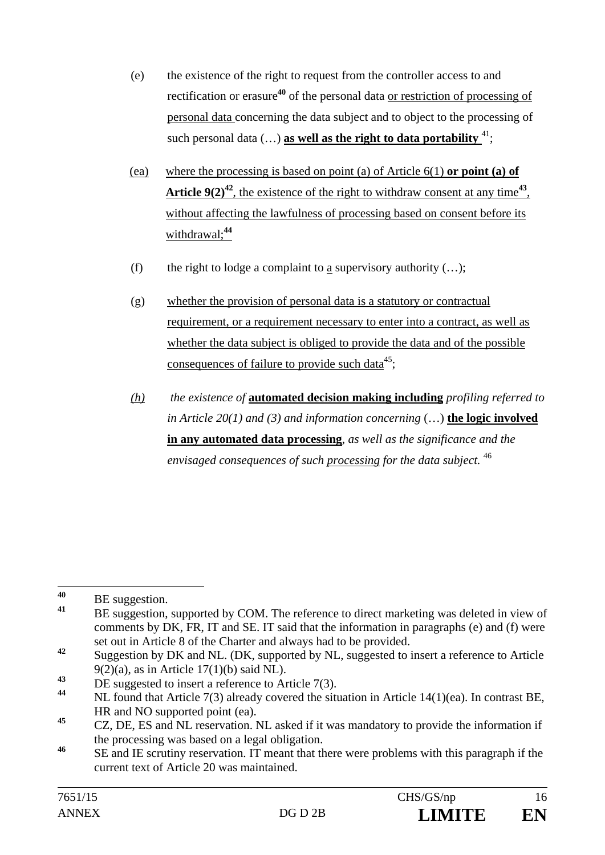- (e) the existence of the right to request from the controller access to and rectification or erasure**<sup>40</sup>** of the personal data or restriction of processing of personal data concerning the data subject and to object to the processing of such personal data  $(...)$  as well as the right to data portability  $^{41}$ ;
- (ea) where the processing is based on point (a) of Article 6(1) **or point (a) of Article 9(2)<sup>42</sup>, the existence of the right to withdraw consent at any time<sup>43</sup>,** without affecting the lawfulness of processing based on consent before its withdrawal;**<sup>44</sup>**
- (f) the right to lodge a complaint to a supervisory authority  $(...);$
- (g) whether the provision of personal data is a statutory or contractual requirement, or a requirement necessary to enter into a contract, as well as whether the data subject is obliged to provide the data and of the possible consequences of failure to provide such data<sup>45</sup>:
- *(h) the existence of* **automated decision making including** *profiling referred to in Article 20(1) and (3) and information concerning* (…) **the logic involved in any automated data processing***, as well as the significance and the envisaged consequences of such processing for the data subject.* <sup>46</sup>

 $40$  $^{40}_{41}$  BE suggestion.

BE suggestion, supported by COM. The reference to direct marketing was deleted in view of comments by DK, FR, IT and SE. IT said that the information in paragraphs (e) and (f) were set out in Article 8 of the Charter and always had to be provided.

**<sup>42</sup>** Suggestion by DK and NL. (DK, supported by NL, suggested to insert a reference to Article  $9(2)(a)$ , as in Article 17(1)(b) said NL).

<sup>&</sup>lt;sup>43</sup> DE suggested to insert a reference to Article 7(3).

**<sup>44</sup>** NL found that Article 7(3) already covered the situation in Article 14(1)(ea). In contrast BE, HR and NO supported point (ea).

**<sup>45</sup>** CZ, DE, ES and NL reservation. NL asked if it was mandatory to provide the information if the processing was based on a legal obligation.

<sup>&</sup>lt;sup>46</sup> SE and IE scrutiny reservation. IT meant that there were problems with this paragraph if the current text of Article 20 was maintained.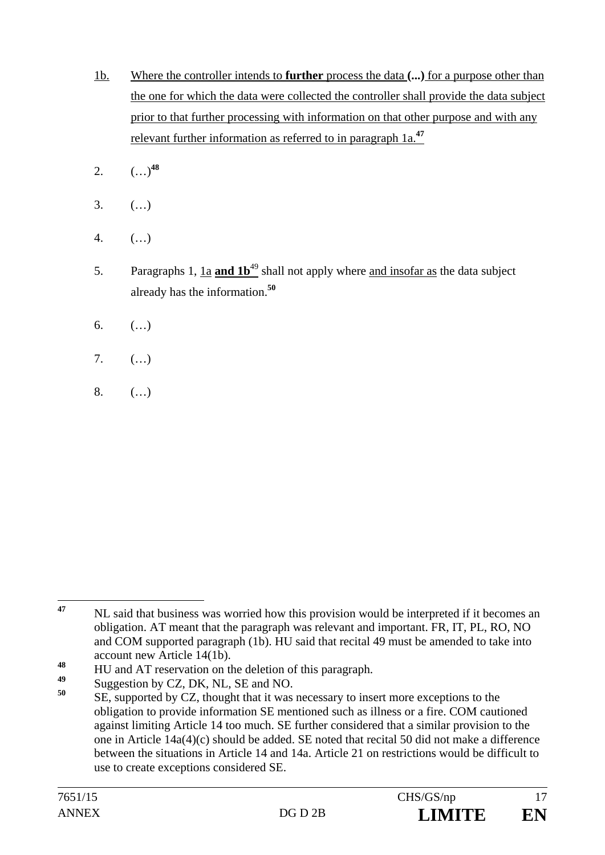- 1b. Where the controller intends to **further** process the data **(...)** for a purpose other than the one for which the data were collected the controller shall provide the data subject prior to that further processing with information on that other purpose and with any relevant further information as referred to in paragraph 1a.**<sup>47</sup>**
- 2.  $(\ldots)^{48}$
- 3. (…)
- 4. (…)
- 5. Paragraphs 1, 1a **and 1b**<sup>49</sup> shall not apply where and insofar as the data subject already has the information.**<sup>50</sup>**
- 6.  $($ ...)
- 7. (…)
- 8. (…)

<sup>47</sup> **<sup>47</sup>** NL said that business was worried how this provision would be interpreted if it becomes an obligation. AT meant that the paragraph was relevant and important. FR, IT, PL, RO, NO and COM supported paragraph (1b). HU said that recital 49 must be amended to take into account new Article 14(1b).

<sup>48</sup> HU and AT reservation on the deletion of this paragraph.

<sup>&</sup>lt;sup>49</sup> Suggestion by CZ, DK, NL, SE and NO.<br> $50$  SE suggested by CZ thought that it was

SE, supported by CZ, thought that it was necessary to insert more exceptions to the obligation to provide information SE mentioned such as illness or a fire. COM cautioned against limiting Article 14 too much. SE further considered that a similar provision to the one in Article 14a(4)(c) should be added. SE noted that recital 50 did not make a difference between the situations in Article 14 and 14a. Article 21 on restrictions would be difficult to use to create exceptions considered SE.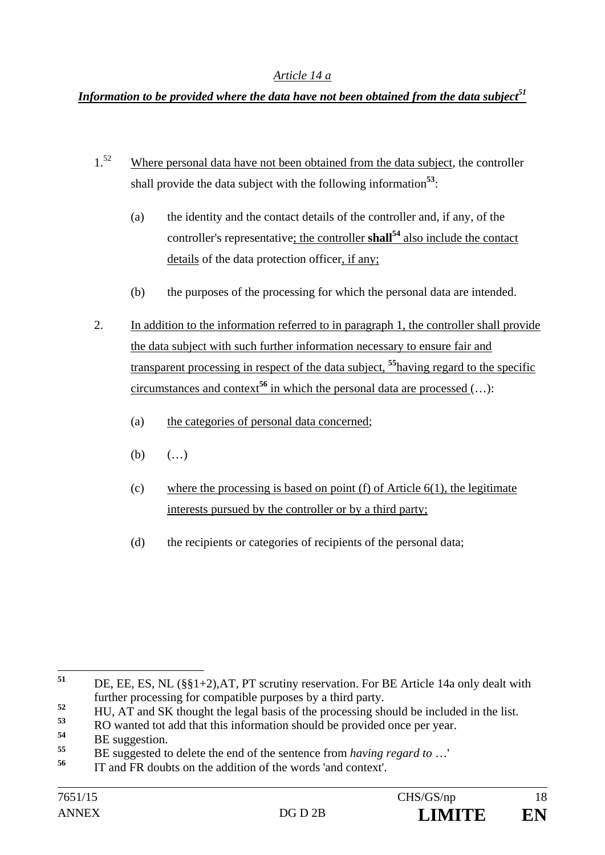#### *Article 14 a*

### *Information to be provided where the data have not been obtained from the data subject* $51$

- $1<sup>52</sup>$  Where personal data have not been obtained from the data subject, the controller shall provide the data subject with the following information**<sup>53</sup>**:
	- (a) the identity and the contact details of the controller and, if any, of the controller's representative; the controller **shall**<sup>54</sup> also include the contact details of the data protection officer, if any;
	- (b) the purposes of the processing for which the personal data are intended.
- 2. In addition to the information referred to in paragraph 1, the controller shall provide the data subject with such further information necessary to ensure fair and transparent processing in respect of the data subject, **<sup>55</sup>**having regard to the specific circumstances and context<sup>56</sup> in which the personal data are processed  $(...)$ :
	- (a) the categories of personal data concerned;
	- (b)  $(...)$
	- (c) where the processing is based on point (f) of Article  $6(1)$ , the legitimate interests pursued by the controller or by a third party;
	- (d) the recipients or categories of recipients of the personal data;

<sup>51</sup> **<sup>51</sup>** DE, EE, ES, NL (§§1+2),AT, PT scrutiny reservation. For BE Article 14a only dealt with further processing for compatible purposes by a third party.

<sup>&</sup>lt;sup>52</sup> HU, AT and SK thought the legal basis of the processing should be included in the list.

**<sup>53</sup>** RO wanted tot add that this information should be provided once per year.

<sup>&</sup>lt;sup>54</sup> BE suggestion.

**<sup>55</sup>** BE suggested to delete the end of the sentence from *having regard to* …'

**<sup>56</sup>** IT and FR doubts on the addition of the words 'and context'.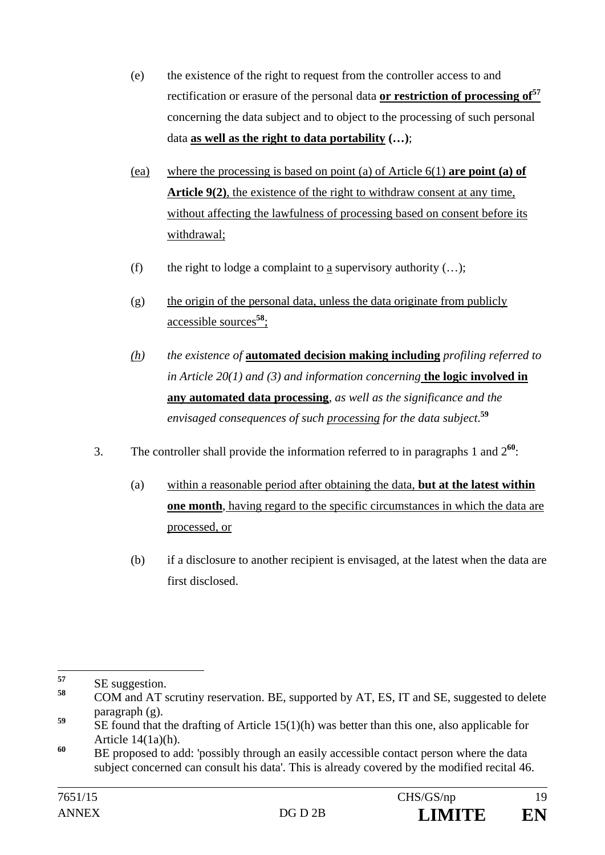- (e) the existence of the right to request from the controller access to and rectification or erasure of the personal data **or restriction of processing of<sup>57</sup>** concerning the data subject and to object to the processing of such personal data **as well as the right to data portability (…)**;
- (ea) where the processing is based on point (a) of Article 6(1) **are point (a) of Article 9(2)**, the existence of the right to withdraw consent at any time, without affecting the lawfulness of processing based on consent before its withdrawal;
- (f) the right to lodge a complaint to a supervisory authority  $(...);$
- (g) the origin of the personal data, unless the data originate from publicly accessible sources**<sup>58</sup>**;
- *(h) the existence of* **automated decision making including** *profiling referred to in Article 20(1) and (3) and information concerning* **the logic involved in any automated data processing***, as well as the significance and the envisaged consequences of such processing for the data subject*. **59**
- 3. The controller shall provide the information referred to in paragraphs 1 and 2**<sup>60</sup>**:
	- (a) within a reasonable period after obtaining the data, **but at the latest within one month**, having regard to the specific circumstances in which the data are processed, or
	- (b) if a disclosure to another recipient is envisaged, at the latest when the data are first disclosed.

<sup>57</sup>  $57$  SE suggestion.

**<sup>58</sup>** COM and AT scrutiny reservation. BE, supported by AT, ES, IT and SE, suggested to delete paragraph (g).

<sup>&</sup>lt;sup>59</sup> SE found that the drafting of Article 15(1)(h) was better than this one, also applicable for Article 14(1a)(h).

<sup>&</sup>lt;sup>60</sup> BE proposed to add: 'possibly through an easily accessible contact person where the data subject concerned can consult his data'. This is already covered by the modified recital 46.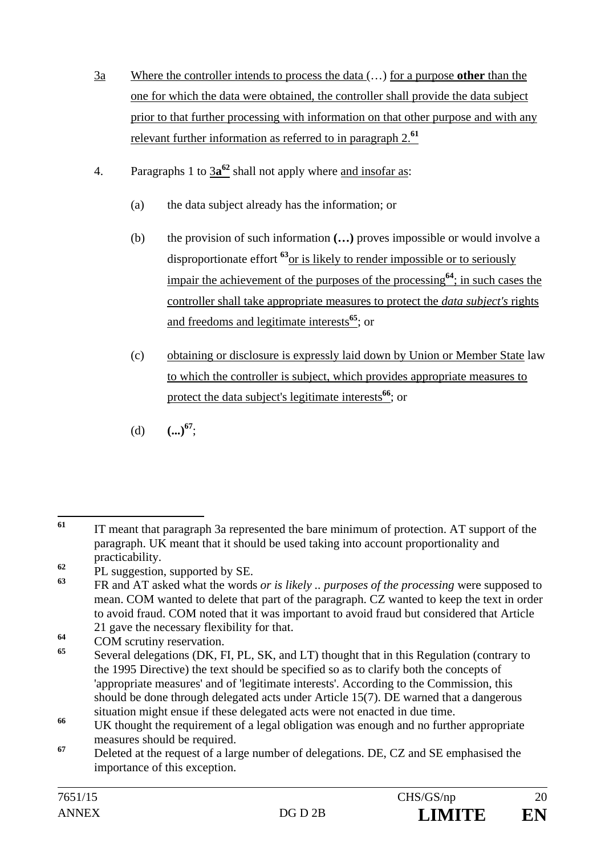- 3a Where the controller intends to process the data (…) for a purpose **other** than the one for which the data were obtained, the controller shall provide the data subject prior to that further processing with information on that other purpose and with any relevant further information as referred to in paragraph 2.**<sup>61</sup>**
- 4. Paragraphs 1 to  $3a^{62}$  shall not apply where and insofar as:
	- (a) the data subject already has the information; or
	- (b) the provision of such information **(…)** proves impossible or would involve a disproportionate effort **<sup>63</sup>**or is likely to render impossible or to seriously impair the achievement of the purposes of the processing**<sup>64</sup>**; in such cases the controller shall take appropriate measures to protect the *data subject's* rights and freedoms and legitimate interests**<sup>65</sup>**; or
	- (c) obtaining or disclosure is expressly laid down by Union or Member State law to which the controller is subject, which provides appropriate measures to protect the data subject's legitimate interests**<sup>66</sup>**; or
	- (d)  $(\ldots)^{67}$ ;

<sup>61</sup> **<sup>61</sup>** IT meant that paragraph 3a represented the bare minimum of protection. AT support of the paragraph. UK meant that it should be used taking into account proportionality and practicability.

<sup>&</sup>lt;sup>62</sup> PL suggestion, supported by SE.<br><sup>63</sup> PL and AT select what the word.

**<sup>63</sup>** FR and AT asked what the words *or is likely .. purposes of the processing* were supposed to mean. COM wanted to delete that part of the paragraph. CZ wanted to keep the text in order to avoid fraud. COM noted that it was important to avoid fraud but considered that Article 21 gave the necessary flexibility for that.

<sup>&</sup>lt;sup>64</sup> COM scrutiny reservation.

**<sup>65</sup>** Several delegations (DK, FI, PL, SK, and LT) thought that in this Regulation (contrary to the 1995 Directive) the text should be specified so as to clarify both the concepts of 'appropriate measures' and of 'legitimate interests'. According to the Commission, this should be done through delegated acts under Article 15(7). DE warned that a dangerous situation might ensue if these delegated acts were not enacted in due time.

<sup>&</sup>lt;sup>66</sup> UK thought the requirement of a legal obligation was enough and no further appropriate measures should be required.

**<sup>67</sup>** Deleted at the request of a large number of delegations. DE, CZ and SE emphasised the importance of this exception.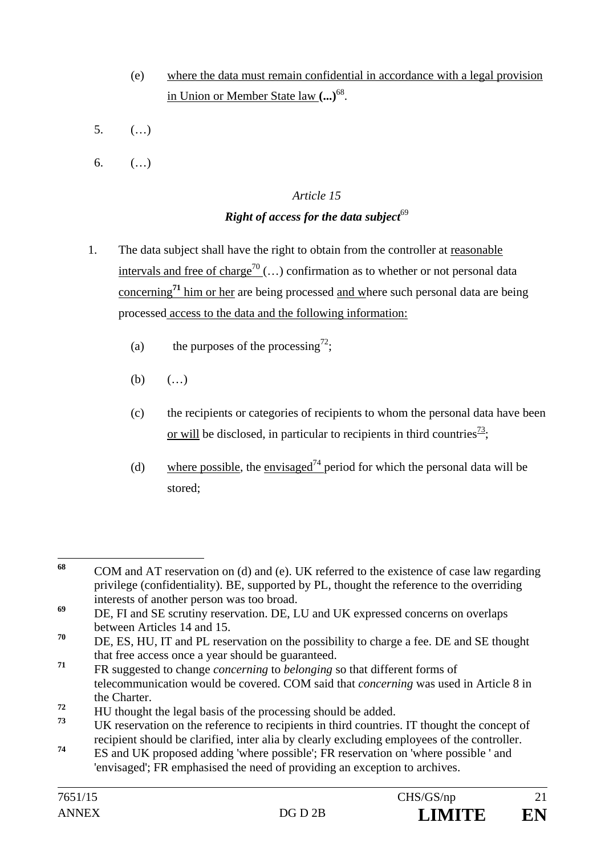- (e) where the data must remain confidential in accordance with a legal provision in Union or Member State law **(...)**68.
- 5. (…)
- 6.  $($ ...)

# *Article 15*

## *Right of access for the data subject*<sup>69</sup>

- 1. The data subject shall have the right to obtain from the controller at reasonable intervals and free of charge<sup>70</sup> (...) confirmation as to whether or not personal data concerning**<sup>71</sup>** him or her are being processed and where such personal data are being processed access to the data and the following information:
	- (a) the purposes of the processing<sup>72</sup>;
	- (b)  $( ...)$
	- (c) the recipients or categories of recipients to whom the personal data have been or will be disclosed, in particular to recipients in third countries<sup> $\frac{73}{1}$ </sup>:
	- (d) where possible, the envisaged<sup>74</sup> period for which the personal data will be stored;

<sup>68</sup> **<sup>68</sup>** COM and AT reservation on (d) and (e). UK referred to the existence of case law regarding privilege (confidentiality). BE, supported by PL, thought the reference to the overriding interests of another person was too broad.

**<sup>69</sup>** DE, FI and SE scrutiny reservation. DE, LU and UK expressed concerns on overlaps between Articles 14 and 15.

**<sup>70</sup>** DE, ES, HU, IT and PL reservation on the possibility to charge a fee. DE and SE thought that free access once a year should be guaranteed.

**<sup>71</sup>** FR suggested to change *concerning* to *belonging* so that different forms of telecommunication would be covered. COM said that *concerning* was used in Article 8 in the Charter.

<sup>&</sup>lt;sup>72</sup> HU thought the legal basis of the processing should be added.

**<sup>73</sup>** UK reservation on the reference to recipients in third countries. IT thought the concept of recipient should be clarified, inter alia by clearly excluding employees of the controller.

**<sup>74</sup>** ES and UK proposed adding 'where possible'; FR reservation on 'where possible ' and 'envisaged'; FR emphasised the need of providing an exception to archives.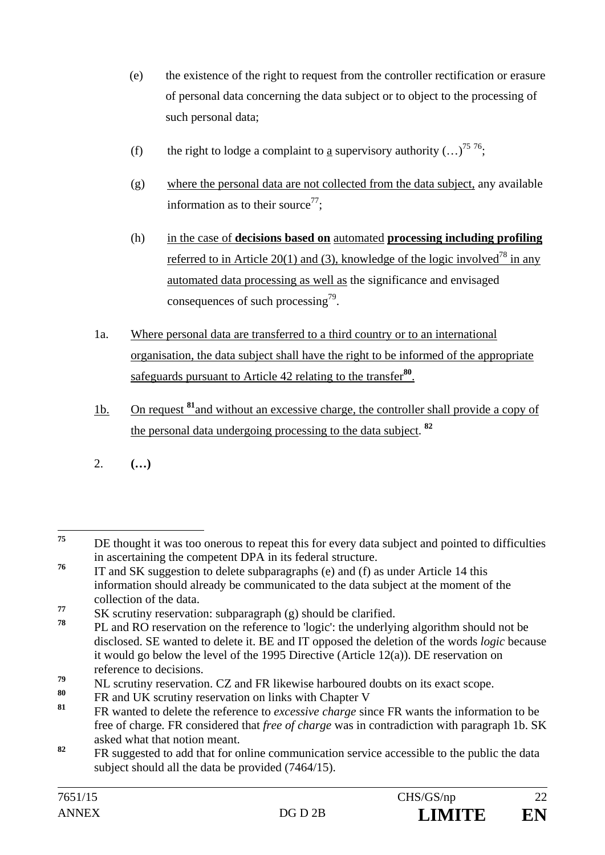- (e) the existence of the right to request from the controller rectification or erasure of personal data concerning the data subject or to object to the processing of such personal data;
- (f) the right to lodge a complaint to a supervisory authority  $(...)^{7576}$ ;
- (g) where the personal data are not collected from the data subject, any available information as to their source<sup>77</sup>;
- (h) in the case of **decisions based on** automated **processing including profiling** referred to in Article 20(1) and (3), knowledge of the logic involved<sup>78</sup> in any automated data processing as well as the significance and envisaged consequences of such processing $^{79}$ .
- 1a. Where personal data are transferred to a third country or to an international organisation, the data subject shall have the right to be informed of the appropriate safeguards pursuant to Article 42 relating to the transfer**<sup>80</sup>**.
- 1b. On request **<sup>81</sup>**and without an excessive charge, the controller shall provide a copy of the personal data undergoing processing to the data subject. **<sup>82</sup>**
- 2. **(…)**

- **<sup>78</sup>** PL and RO reservation on the reference to 'logic': the underlying algorithm should not be disclosed. SE wanted to delete it. BE and IT opposed the deletion of the words *logic* because it would go below the level of the 1995 Directive (Article 12(a)). DE reservation on reference to decisions.
- <sup>79</sup> NL scrutiny reservation. CZ and FR likewise harboured doubts on its exact scope.
- **<sup>80</sup>** FR and UK scrutiny reservation on links with Chapter V
- **<sup>81</sup>** FR wanted to delete the reference to *excessive charge* since FR wants the information to be free of charge*.* FR considered that *free of charge* was in contradiction with paragraph 1b. SK asked what that notion meant.
- <sup>82</sup> FR suggested to add that for online communication service accessible to the public the data subject should all the data be provided (7464/15).

<sup>75</sup> DE thought it was too onerous to repeat this for every data subject and pointed to difficulties in ascertaining the competent DPA in its federal structure.

**<sup>76</sup>** IT and SK suggestion to delete subparagraphs (e) and (f) as under Article 14 this information should already be communicated to the data subject at the moment of the collection of the data.

<sup>&</sup>lt;sup>77</sup> SK scrutiny reservation: subparagraph (g) should be clarified.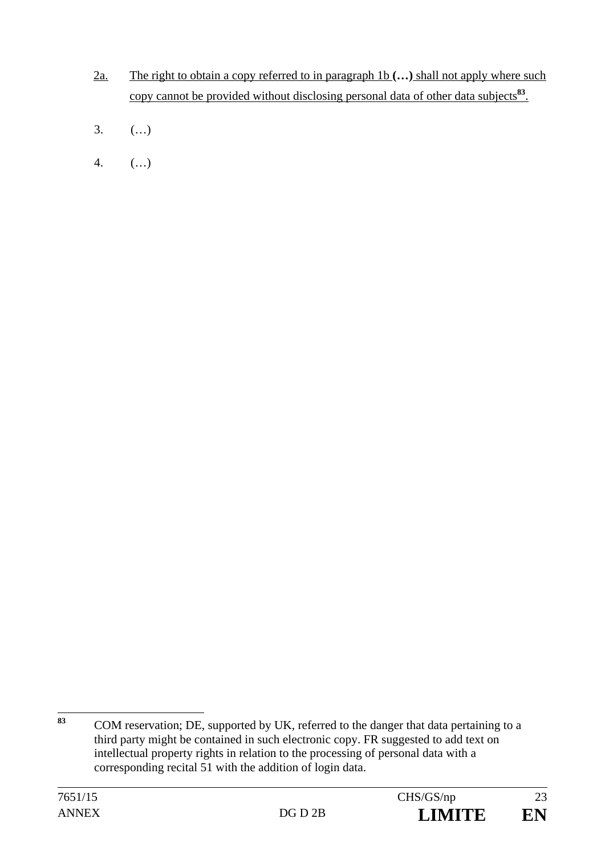- 2a. The right to obtain a copy referred to in paragraph 1b **(…)** shall not apply where such copy cannot be provided without disclosing personal data of other data subjects**<sup>83</sup>**.
- 3. (…)
- 4. (…)

<sup>83</sup> **<sup>83</sup>** COM reservation; DE, supported by UK, referred to the danger that data pertaining to a third party might be contained in such electronic copy. FR suggested to add text on intellectual property rights in relation to the processing of personal data with a corresponding recital 51 with the addition of login data.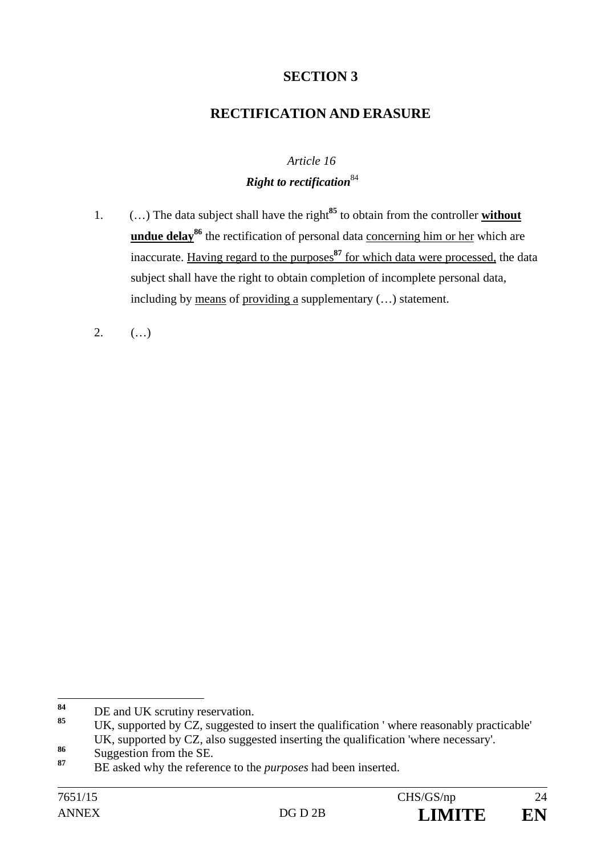# **SECTION 3**

# **RECTIFICATION AND ERASURE**

#### *Article 16*

### *Right to rectification*<sup>84</sup>

- 1. (…) The data subject shall have the right**<sup>85</sup>** to obtain from the controller **without**  undue delay<sup>86</sup> the rectification of personal data concerning him or her which are inaccurate. Having regard to the purposes**<sup>87</sup>** for which data were processed, the data subject shall have the right to obtain completion of incomplete personal data, including by means of providing a supplementary (…) statement.
- 2.  $($ ...)

<sup>84</sup> <sup>84</sup> DE and UK scrutiny reservation.

UK, supported by CZ, suggested to insert the qualification ' where reasonably practicable' UK, supported by CZ, also suggested inserting the qualification 'where necessary'.

<sup>86</sup> Suggestion from the SE.

**<sup>87</sup>** BE asked why the reference to the *purposes* had been inserted.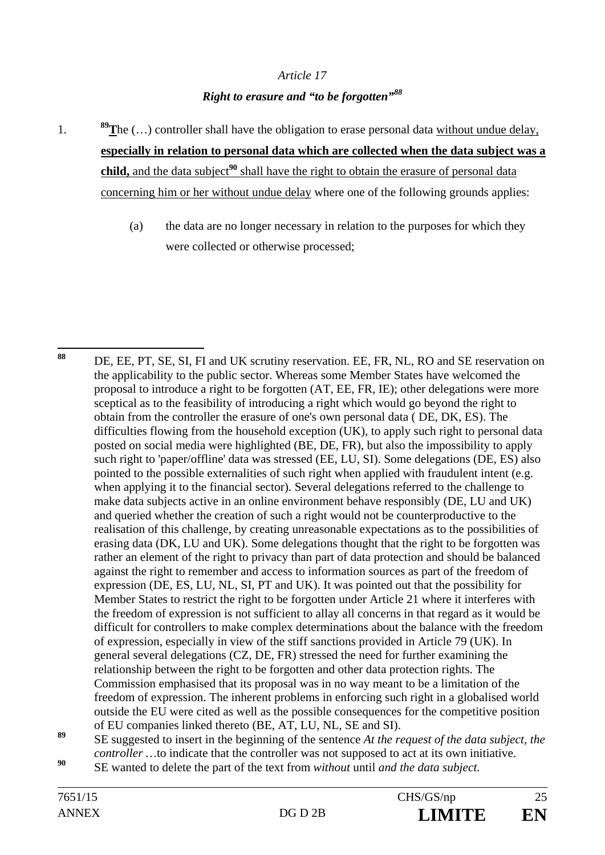#### *Article 17*

## *Right to erasure and "to be forgotten"<sup>88</sup>*

- 1. **89T**he (…) controller shall have the obligation to erase personal data without undue delay, **especially in relation to personal data which are collected when the data subject was a child,** and the data subject<sup>90</sup> shall have the right to obtain the erasure of personal data concerning him or her without undue delay where one of the following grounds applies:
	- (a) the data are no longer necessary in relation to the purposes for which they were collected or otherwise processed;

**<sup>90</sup>** SE wanted to delete the part of the text from *without* until *and the data subject.* 

<sup>88</sup> DE, EE, PT, SE, SI, FI and UK scrutiny reservation. EE, FR, NL, RO and SE reservation on the applicability to the public sector. Whereas some Member States have welcomed the proposal to introduce a right to be forgotten (AT, EE, FR, IE); other delegations were more sceptical as to the feasibility of introducing a right which would go beyond the right to obtain from the controller the erasure of one's own personal data ( DE, DK, ES). The difficulties flowing from the household exception (UK), to apply such right to personal data posted on social media were highlighted (BE, DE, FR), but also the impossibility to apply such right to 'paper/offline' data was stressed (EE, LU, SI). Some delegations (DE, ES) also pointed to the possible externalities of such right when applied with fraudulent intent (e.g. when applying it to the financial sector). Several delegations referred to the challenge to make data subjects active in an online environment behave responsibly (DE, LU and UK) and queried whether the creation of such a right would not be counterproductive to the realisation of this challenge, by creating unreasonable expectations as to the possibilities of erasing data (DK, LU and UK). Some delegations thought that the right to be forgotten was rather an element of the right to privacy than part of data protection and should be balanced against the right to remember and access to information sources as part of the freedom of expression (DE, ES, LU, NL, SI, PT and UK). It was pointed out that the possibility for Member States to restrict the right to be forgotten under Article 21 where it interferes with the freedom of expression is not sufficient to allay all concerns in that regard as it would be difficult for controllers to make complex determinations about the balance with the freedom of expression, especially in view of the stiff sanctions provided in Article 79 (UK). In general several delegations (CZ, DE, FR) stressed the need for further examining the relationship between the right to be forgotten and other data protection rights. The Commission emphasised that its proposal was in no way meant to be a limitation of the freedom of expression. The inherent problems in enforcing such right in a globalised world outside the EU were cited as well as the possible consequences for the competitive position of EU companies linked thereto (BE, AT, LU, NL, SE and SI).

**<sup>89</sup>** SE suggested to insert in the beginning of the sentence *At the request of the data subject, the controller* ... to indicate that the controller was not supposed to act at its own initiative.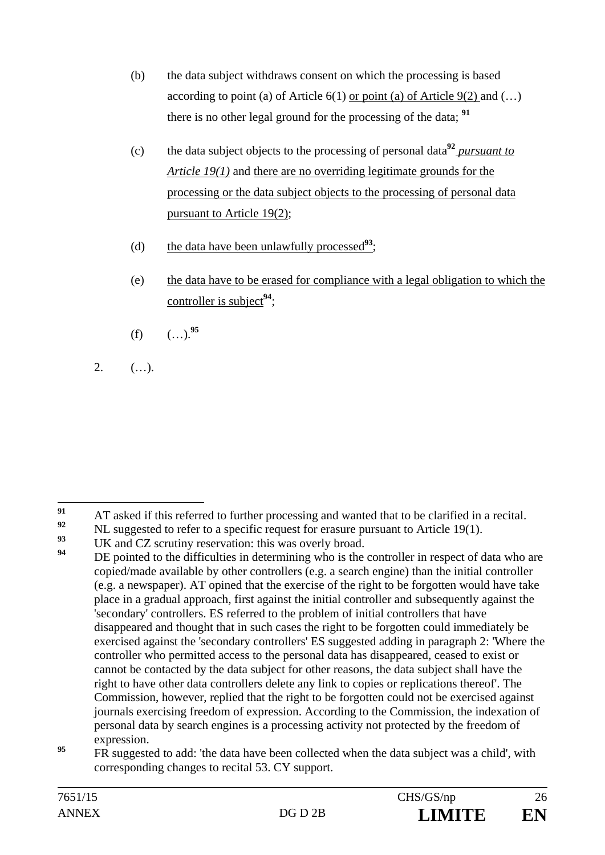- (b) the data subject withdraws consent on which the processing is based according to point (a) of Article  $6(1)$  or point (a) of Article  $9(2)$  and (...) there is no other legal ground for the processing of the data; **<sup>91</sup>**
- (c) the data subject objects to the processing of personal data**<sup>92</sup>** *pursuant to Article 19(1)* and there are no overriding legitimate grounds for the processing or the data subject objects to the processing of personal data pursuant to Article 19(2);
- (d) the data have been unlawfully processed**<sup>93</sup>**;
- (e) the data have to be erased for compliance with a legal obligation to which the controller is subject**<sup>94</sup>**;
- $(f)$   $($ ...).<sup>95</sup>
- $2.$   $($ ...).

<sup>91</sup> <sup>91</sup> AT asked if this referred to further processing and wanted that to be clarified in a recital.

<sup>&</sup>lt;sup>92</sup> NL suggested to refer to a specific request for erasure pursuant to Article 19(1).

<sup>&</sup>lt;sup>93</sup> UK and CZ scrutiny reservation: this was overly broad.

DE pointed to the difficulties in determining who is the controller in respect of data who are copied/made available by other controllers (e.g. a search engine) than the initial controller (e.g. a newspaper). AT opined that the exercise of the right to be forgotten would have take place in a gradual approach, first against the initial controller and subsequently against the 'secondary' controllers. ES referred to the problem of initial controllers that have disappeared and thought that in such cases the right to be forgotten could immediately be exercised against the 'secondary controllers' ES suggested adding in paragraph 2: 'Where the controller who permitted access to the personal data has disappeared, ceased to exist or cannot be contacted by the data subject for other reasons, the data subject shall have the right to have other data controllers delete any link to copies or replications thereof'. The Commission, however, replied that the right to be forgotten could not be exercised against journals exercising freedom of expression. According to the Commission, the indexation of personal data by search engines is a processing activity not protected by the freedom of expression.

**<sup>95</sup>** FR suggested to add: 'the data have been collected when the data subject was a child', with corresponding changes to recital 53. CY support.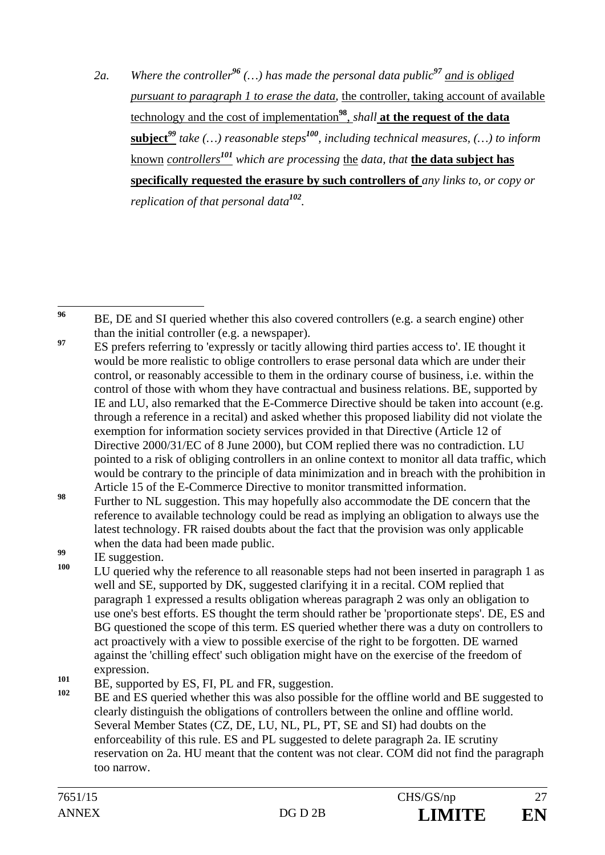*2a. Where the controller<sup>96</sup> (…) has made the personal data public<sup>97</sup> and is obliged pursuant to paragraph 1 to erase the data,* the controller, taking account of available technology and the cost of implementation**<sup>98</sup>**, *shall* **at the request of the data subject***<sup>99</sup> take (…) reasonable steps<sup>100</sup>, including technical measures, (…) to inform* known *controllers<sup>101</sup> which are processing* the *data, that* **the data subject has specifically requested the erasure by such controllers of** *any links to, or copy or replication of that personal data<sup>102</sup>.* 

96 **<sup>96</sup>** BE, DE and SI queried whether this also covered controllers (e.g. a search engine) other than the initial controller (e.g. a newspaper).

- <sup>97</sup> ES prefers referring to 'expressly or tacitly allowing third parties access to'. IE thought it would be more realistic to oblige controllers to erase personal data which are under their control, or reasonably accessible to them in the ordinary course of business, i.e. within the control of those with whom they have contractual and business relations. BE, supported by IE and LU, also remarked that the E-Commerce Directive should be taken into account (e.g. through a reference in a recital) and asked whether this proposed liability did not violate the exemption for information society services provided in that Directive (Article 12 of Directive 2000/31/EC of 8 June 2000), but COM replied there was no contradiction. LU pointed to a risk of obliging controllers in an online context to monitor all data traffic, which would be contrary to the principle of data minimization and in breach with the prohibition in Article 15 of the E-Commerce Directive to monitor transmitted information.
- **<sup>98</sup>** Further to NL suggestion. This may hopefully also accommodate the DE concern that the reference to available technology could be read as implying an obligation to always use the latest technology. FR raised doubts about the fact that the provision was only applicable when the data had been made public.

- $101$  BE, supported by ES, FI, PL and FR, suggestion.
- **<sup>102</sup>** BE and ES queried whether this was also possible for the offline world and BE suggested to clearly distinguish the obligations of controllers between the online and offline world. Several Member States (CZ, DE, LU, NL, PL, PT, SE and SI) had doubts on the enforceability of this rule. ES and PL suggested to delete paragraph 2a. IE scrutiny reservation on 2a. HU meant that the content was not clear. COM did not find the paragraph too narrow.

<sup>&</sup>lt;sup>99</sup> IE suggestion.

LU queried why the reference to all reasonable steps had not been inserted in paragraph 1 as well and SE, supported by DK, suggested clarifying it in a recital. COM replied that paragraph 1 expressed a results obligation whereas paragraph 2 was only an obligation to use one's best efforts. ES thought the term should rather be 'proportionate steps'. DE, ES and BG questioned the scope of this term. ES queried whether there was a duty on controllers to act proactively with a view to possible exercise of the right to be forgotten. DE warned against the 'chilling effect' such obligation might have on the exercise of the freedom of expression.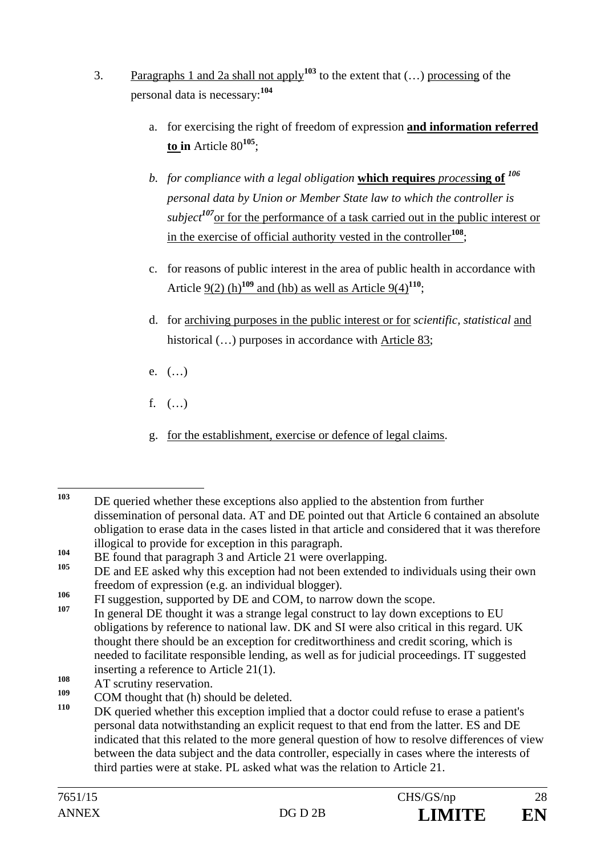- 3. Paragraphs 1 and 2a shall not apply**<sup>103</sup>** to the extent that (…) processing of the personal data is necessary:**<sup>104</sup>**
	- a. for exercising the right of freedom of expression **and information referred to in** Article 80**<sup>105</sup>**;
	- *b. for compliance with a legal obligation* **which requires** *process***ing of** *<sup>106</sup> personal data by Union or Member State law to which the controller is subject<sup>107</sup>*or for the performance of a task carried out in the public interest or in the exercise of official authority vested in the controller**<sup>108</sup>**;
	- c. for reasons of public interest in the area of public health in accordance with Article  $9(2)$  (h)<sup>109</sup> and (hb) as well as Article  $9(4)$ <sup>110</sup>;
	- d. for archiving purposes in the public interest or for *scientific, statistical* and historical  $(...)$  purposes in accordance with Article 83;
	- e. (…)
	- f.  $($ ...)
	- g. for the establishment, exercise or defence of legal claims.

- In general DE thought it was a strange legal construct to lay down exceptions to EU obligations by reference to national law. DK and SI were also critical in this regard. UK thought there should be an exception for creditworthiness and credit scoring, which is needed to facilitate responsible lending, as well as for judicial proceedings. IT suggested inserting a reference to Article 21(1).
- 108 AT scrutiny reservation.

 $103$ **<sup>103</sup>** DE queried whether these exceptions also applied to the abstention from further dissemination of personal data. AT and DE pointed out that Article 6 contained an absolute obligation to erase data in the cases listed in that article and considered that it was therefore illogical to provide for exception in this paragraph.

<sup>104</sup> BE found that paragraph 3 and Article 21 were overlapping.

**<sup>105</sup>** DE and EE asked why this exception had not been extended to individuals using their own freedom of expression (e.g. an individual blogger).

<sup>&</sup>lt;sup>106</sup> FI suggestion, supported by DE and COM, to narrow down the scope.

 $109$  COM thought that (h) should be deleted.

DK queried whether this exception implied that a doctor could refuse to erase a patient's personal data notwithstanding an explicit request to that end from the latter. ES and DE indicated that this related to the more general question of how to resolve differences of view between the data subject and the data controller, especially in cases where the interests of third parties were at stake. PL asked what was the relation to Article 21.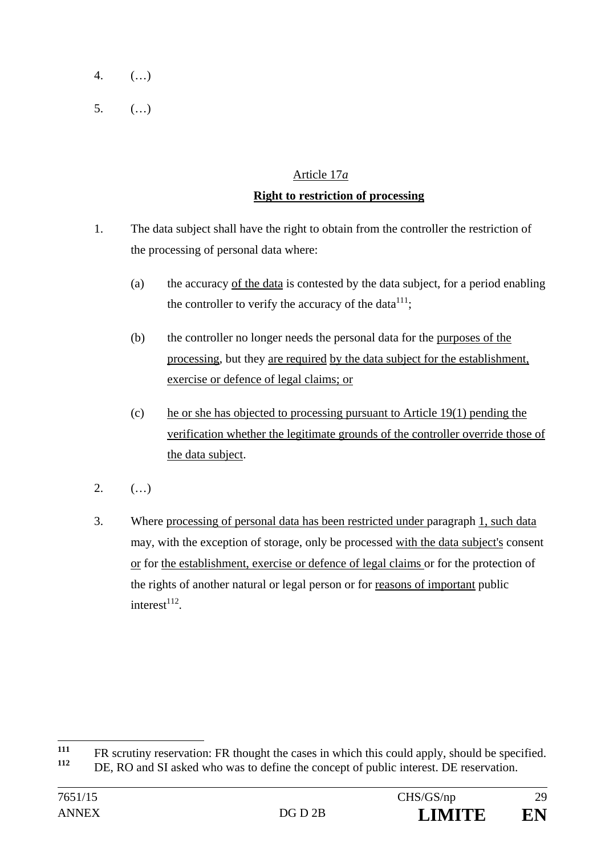- 4. (…)
- 5. (…)

# Article 17*a* **Right to restriction of processing**

- 1. The data subject shall have the right to obtain from the controller the restriction of the processing of personal data where:
	- (a) the accuracy of the data is contested by the data subject, for a period enabling the controller to verify the accuracy of the data $111$ ;
	- (b) the controller no longer needs the personal data for the purposes of the processing, but they are required by the data subject for the establishment, exercise or defence of legal claims; or
	- (c) he or she has objected to processing pursuant to Article 19(1) pending the verification whether the legitimate grounds of the controller override those of the data subject.
- $2.$  (...)
- 3. Where processing of personal data has been restricted under paragraph 1, such data may, with the exception of storage, only be processed with the data subject's consent or for the establishment, exercise or defence of legal claims or for the protection of the rights of another natural or legal person or for reasons of important public  $interest$ <sup>112</sup>

 $111$ **111** FR scrutiny reservation: FR thought the cases in which this could apply, should be specified.

DE, RO and SI asked who was to define the concept of public interest. DE reservation.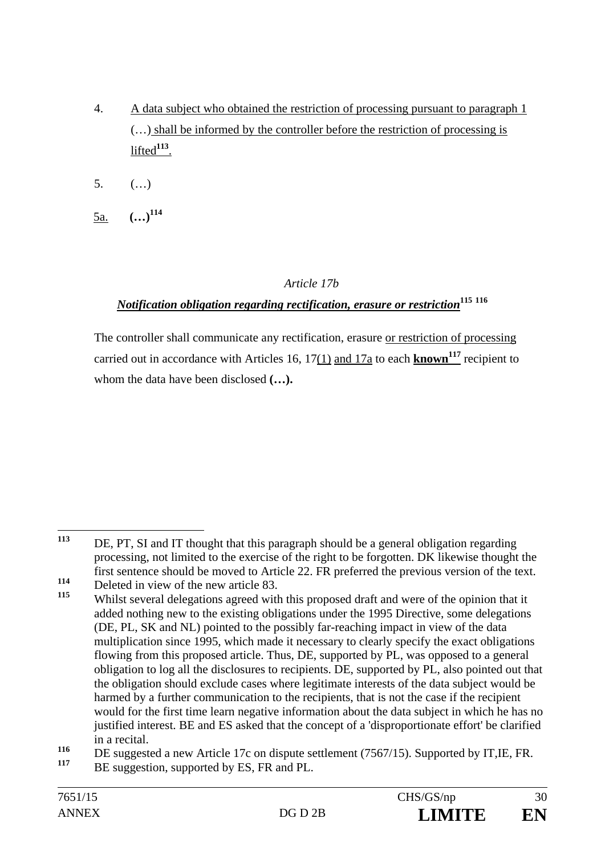- 4. A data subject who obtained the restriction of processing pursuant to paragraph 1 (…) shall be informed by the controller before the restriction of processing is lifted<sup>113</sup>.
- 5. (…)
- 5a. **(…)114**

### *Article 17b*

# *Notification obligation regarding rectification, erasure or restriction***<sup>115</sup> <sup>116</sup>**

The controller shall communicate any rectification, erasure or restriction of processing carried out in accordance with Articles 16, 17(1) and 17a to each **known<sup>117</sup>** recipient to whom the data have been disclosed **(…).**

<sup>113</sup> DE, PT, SI and IT thought that this paragraph should be a general obligation regarding processing, not limited to the exercise of the right to be forgotten. DK likewise thought the first sentence should be moved to Article 22. FR preferred the previous version of the text.

**<sup>114</sup>** Deleted in view of the new article 83.

**<sup>115</sup>** Whilst several delegations agreed with this proposed draft and were of the opinion that it added nothing new to the existing obligations under the 1995 Directive, some delegations (DE, PL, SK and NL) pointed to the possibly far-reaching impact in view of the data multiplication since 1995, which made it necessary to clearly specify the exact obligations flowing from this proposed article. Thus, DE, supported by PL, was opposed to a general obligation to log all the disclosures to recipients. DE, supported by PL, also pointed out that the obligation should exclude cases where legitimate interests of the data subject would be harmed by a further communication to the recipients, that is not the case if the recipient would for the first time learn negative information about the data subject in which he has no justified interest. BE and ES asked that the concept of a 'disproportionate effort' be clarified in a recital.

<sup>&</sup>lt;sup>116</sup> DE suggested a new Article 17c on dispute settlement (7567/15). Supported by IT, IE, FR.

BE suggestion, supported by ES, FR and PL.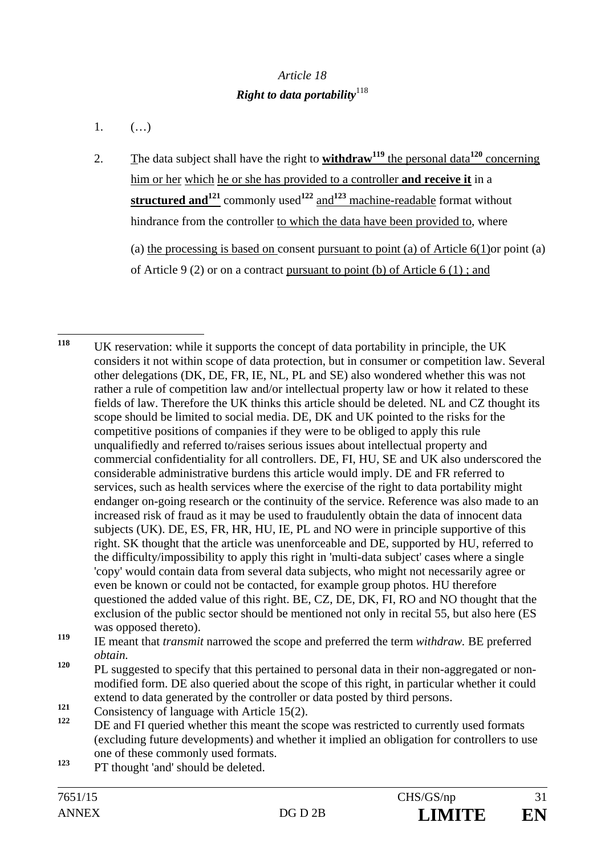# *Article 18 Right to data portability*<sup>118</sup>

- 1.  $(...)$
- 2. The data subject shall have the right to **withdraw119** the personal data**<sup>120</sup>** concerning him or her which he or she has provided to a controller **and receive it** in a **structured and121** commonly used**<sup>122</sup>** and**<sup>123</sup>** machine-readable format without hindrance from the controller to which the data have been provided to, where (a) the processing is based on consent pursuant to point (a) of Article  $6(1)$ or point (a) of Article 9 (2) or on a contract pursuant to point (b) of Article 6 (1) ; and

<sup>123</sup> PT thought 'and' should be deleted.

<sup>118</sup> **<sup>118</sup>** UK reservation: while it supports the concept of data portability in principle, the UK considers it not within scope of data protection, but in consumer or competition law. Several other delegations (DK, DE, FR, IE, NL, PL and SE) also wondered whether this was not rather a rule of competition law and/or intellectual property law or how it related to these fields of law. Therefore the UK thinks this article should be deleted. NL and CZ thought its scope should be limited to social media. DE, DK and UK pointed to the risks for the competitive positions of companies if they were to be obliged to apply this rule unqualifiedly and referred to/raises serious issues about intellectual property and commercial confidentiality for all controllers. DE, FI, HU, SE and UK also underscored the considerable administrative burdens this article would imply. DE and FR referred to services, such as health services where the exercise of the right to data portability might endanger on-going research or the continuity of the service. Reference was also made to an increased risk of fraud as it may be used to fraudulently obtain the data of innocent data subjects (UK). DE, ES, FR, HR, HU, IE, PL and NO were in principle supportive of this right. SK thought that the article was unenforceable and DE, supported by HU, referred to the difficulty/impossibility to apply this right in 'multi-data subject' cases where a single 'copy' would contain data from several data subjects, who might not necessarily agree or even be known or could not be contacted, for example group photos. HU therefore questioned the added value of this right. BE, CZ, DE, DK, FI, RO and NO thought that the exclusion of the public sector should be mentioned not only in recital 55, but also here (ES was opposed thereto).

**<sup>119</sup>** IE meant that *transmit* narrowed the scope and preferred the term *withdraw.* BE preferred *obtain.* 

<sup>&</sup>lt;sup>120</sup> PL suggested to specify that this pertained to personal data in their non-aggregated or nonmodified form. DE also queried about the scope of this right, in particular whether it could extend to data generated by the controller or data posted by third persons.

<sup>121</sup> Consistency of language with Article 15(2).

**<sup>122</sup>** DE and FI queried whether this meant the scope was restricted to currently used formats (excluding future developments) and whether it implied an obligation for controllers to use one of these commonly used formats.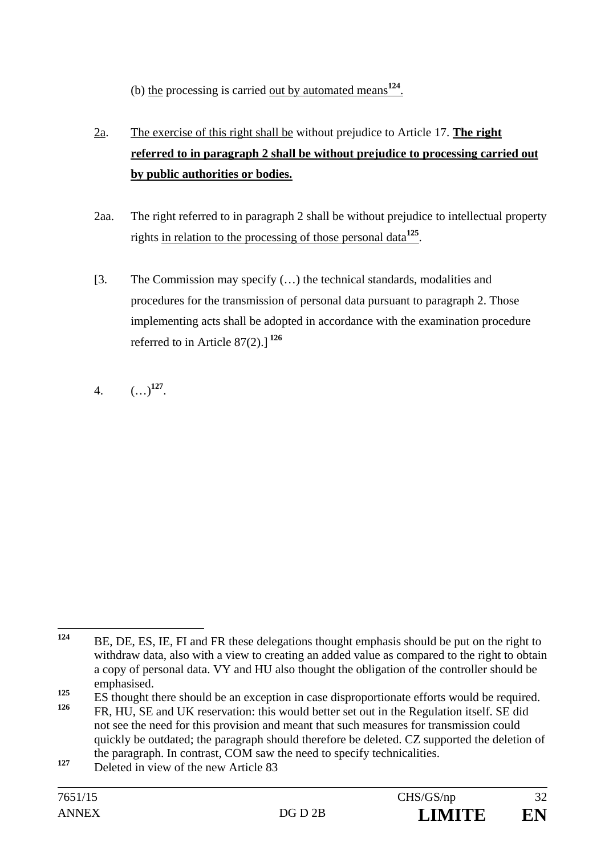(b) the processing is carried out by automated means**<sup>124</sup>**.

- 2a. The exercise of this right shall be without prejudice to Article 17. **The right referred to in paragraph 2 shall be without prejudice to processing carried out by public authorities or bodies.**
- 2aa. The right referred to in paragraph 2 shall be without prejudice to intellectual property rights in relation to the processing of those personal data**<sup>125</sup>**.
- [3. The Commission may specify (…) the technical standards, modalities and procedures for the transmission of personal data pursuant to paragraph 2. Those implementing acts shall be adopted in accordance with the examination procedure referred to in Article 87(2).] **<sup>126</sup>**
- 4.  $(\ldots)^{127}$ .

 $124$ **<sup>124</sup>** BE, DE, ES, IE, FI and FR these delegations thought emphasis should be put on the right to withdraw data, also with a view to creating an added value as compared to the right to obtain a copy of personal data. VY and HU also thought the obligation of the controller should be emphasised.

<sup>&</sup>lt;sup>125</sup> ES thought there should be an exception in case disproportionate efforts would be required.

**<sup>126</sup>** FR, HU, SE and UK reservation: this would better set out in the Regulation itself. SE did not see the need for this provision and meant that such measures for transmission could quickly be outdated; the paragraph should therefore be deleted. CZ supported the deletion of the paragraph. In contrast, COM saw the need to specify technicalities.

<sup>127</sup> Deleted in view of the new Article 83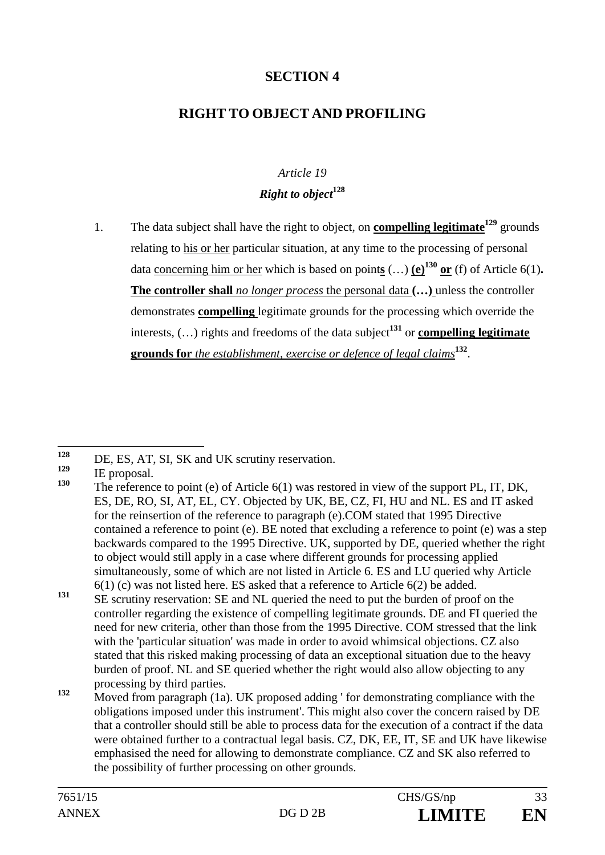# **SECTION 4**

# **RIGHT TO OBJECT AND PROFILING**

# *Article 19 Right to object***<sup>128</sup>**

1. The data subject shall have the right to object, on **compelling legitimate129** grounds relating to his or her particular situation, at any time to the processing of personal data <u>concerning him or her</u> which is based on points  $(...)$  (e)<sup>130</sup> or (f) of Article 6(1). **The controller shall** *no longer process* the personal data **(…)** unless the controller demonstrates **compelling** legitimate grounds for the processing which override the interests,  $(...)$  rights and freedoms of the data subject<sup>131</sup> or **compelling legitimate grounds for** *the establishment, exercise or defence of legal claims***<sup>132</sup>**.

 $128$  $128$  DE, ES, AT, SI, SK and UK scrutiny reservation.

 $\frac{129}{130}$  IE proposal.

**<sup>130</sup>** The reference to point (e) of Article 6(1) was restored in view of the support PL, IT, DK, ES, DE, RO, SI, AT, EL, CY. Objected by UK, BE, CZ, FI, HU and NL. ES and IT asked for the reinsertion of the reference to paragraph (e).COM stated that 1995 Directive contained a reference to point (e). BE noted that excluding a reference to point (e) was a step backwards compared to the 1995 Directive. UK, supported by DE, queried whether the right to object would still apply in a case where different grounds for processing applied simultaneously, some of which are not listed in Article 6. ES and LU queried why Article 6(1) (c) was not listed here. ES asked that a reference to Article 6(2) be added.

<sup>131</sup> SE scrutiny reservation: SE and NL queried the need to put the burden of proof on the controller regarding the existence of compelling legitimate grounds. DE and FI queried the need for new criteria, other than those from the 1995 Directive. COM stressed that the link with the 'particular situation' was made in order to avoid whimsical objections. CZ also stated that this risked making processing of data an exceptional situation due to the heavy burden of proof. NL and SE queried whether the right would also allow objecting to any processing by third parties.

**<sup>132</sup>** Moved from paragraph (1a). UK proposed adding ' for demonstrating compliance with the obligations imposed under this instrument'. This might also cover the concern raised by DE that a controller should still be able to process data for the execution of a contract if the data were obtained further to a contractual legal basis, CZ, DK, EE, IT, SE and UK have likewise emphasised the need for allowing to demonstrate compliance. CZ and SK also referred to the possibility of further processing on other grounds.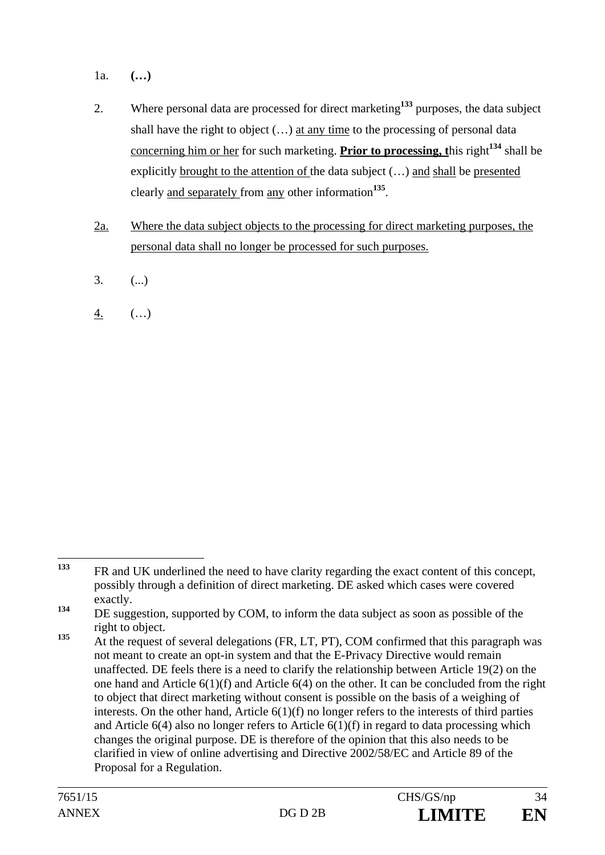- 1a. **(…)**
- 2. Where personal data are processed for direct marketing**<sup>133</sup>** purposes, the data subject shall have the right to object  $(...)$  at any time to the processing of personal data concerning him or her for such marketing. **Prior to processing, t**his right**<sup>134</sup>** shall be explicitly brought to the attention of the data subject (…) and shall be presented clearly and separately from any other information**<sup>135</sup>**.
- 2a. Where the data subject objects to the processing for direct marketing purposes, the personal data shall no longer be processed for such purposes.
- $3.$  (...)
- 4. (…)

<sup>133</sup> **<sup>133</sup>** FR and UK underlined the need to have clarity regarding the exact content of this concept, possibly through a definition of direct marketing. DE asked which cases were covered exactly.

<sup>&</sup>lt;sup>134</sup> DE suggestion, supported by COM, to inform the data subject as soon as possible of the right to object.

<sup>&</sup>lt;sup>135</sup> At the request of several delegations (FR, LT, PT), COM confirmed that this paragraph was not meant to create an opt-in system and that the E-Privacy Directive would remain unaffected*.* DE feels there is a need to clarify the relationship between Article 19(2) on the one hand and Article 6(1)(f) and Article 6(4) on the other. It can be concluded from the right to object that direct marketing without consent is possible on the basis of a weighing of interests. On the other hand, Article 6(1)(f) no longer refers to the interests of third parties and Article  $6(4)$  also no longer refers to Article  $6(1)(f)$  in regard to data processing which changes the original purpose. DE is therefore of the opinion that this also needs to be clarified in view of online advertising and Directive 2002/58/EC and Article 89 of the Proposal for a Regulation.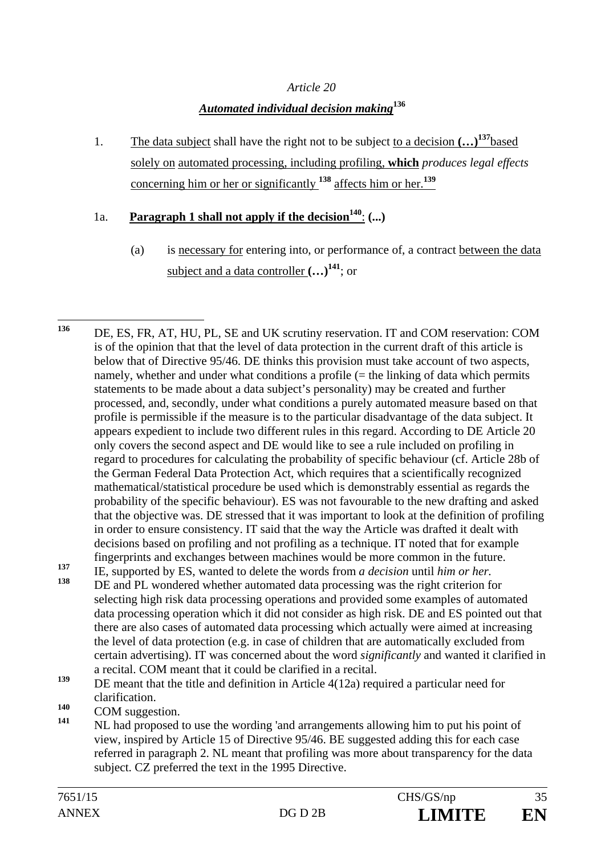#### *Article 20*

## *Automated individual decision making***<sup>136</sup>**

1. The data subject shall have the right not to be subject to a decision **(…)137**based solely on automated processing, including profiling, **which** *produces legal effects* concerning him or her or significantly **<sup>138</sup>** affects him or her.**<sup>139</sup>**

## 1a. **Paragraph 1 shall not apply if the decision<sup>140</sup>:**  $($ **...)**

(a) is necessary for entering into, or performance of, a contract between the data subject and a data controller  $(...)$ <sup>141</sup>; or

selecting high risk data processing operations and provided some examples of automated data processing operation which it did not consider as high risk. DE and ES pointed out that there are also cases of automated data processing which actually were aimed at increasing the level of data protection (e.g. in case of children that are automatically excluded from certain advertising). IT was concerned about the word *significantly* and wanted it clarified in a recital. COM meant that it could be clarified in a recital.

- 140 **COM** suggestion.
- **<sup>141</sup>** NL had proposed to use the wording 'and arrangements allowing him to put his point of view, inspired by Article 15 of Directive 95/46. BE suggested adding this for each case referred in paragraph 2. NL meant that profiling was more about transparency for the data subject. CZ preferred the text in the 1995 Directive.

<sup>136</sup> **<sup>136</sup>**DE, ES, FR, AT, HU, PL, SE and UK scrutiny reservation. IT and COM reservation: COM is of the opinion that that the level of data protection in the current draft of this article is below that of Directive 95/46. DE thinks this provision must take account of two aspects, namely, whether and under what conditions a profile  $(=$  the linking of data which permits statements to be made about a data subject's personality) may be created and further processed, and, secondly, under what conditions a purely automated measure based on that profile is permissible if the measure is to the particular disadvantage of the data subject. It appears expedient to include two different rules in this regard. According to DE Article 20 only covers the second aspect and DE would like to see a rule included on profiling in regard to procedures for calculating the probability of specific behaviour (cf. Article 28b of the German Federal Data Protection Act, which requires that a scientifically recognized mathematical/statistical procedure be used which is demonstrably essential as regards the probability of the specific behaviour). ES was not favourable to the new drafting and asked that the objective was. DE stressed that it was important to look at the definition of profiling in order to ensure consistency. IT said that the way the Article was drafted it dealt with decisions based on profiling and not profiling as a technique. IT noted that for example fingerprints and exchanges between machines would be more common in the future. 137 IE, supported by ES, wanted to delete the words from *a decision* until *him or her.*<br>138 DE and PL wandared whather automated data grossesing was the right ariterian f **<sup>138</sup>** DE and PL wondered whether automated data processing was the right criterion for

**<sup>139</sup>** DE meant that the title and definition in Article 4(12a) required a particular need for clarification.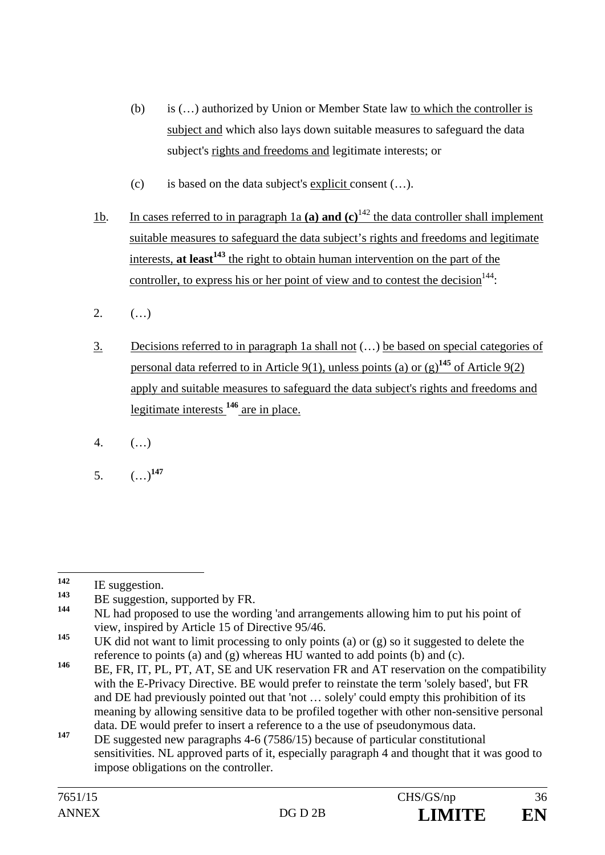- (b) is (…) authorized by Union or Member State law to which the controller is subject and which also lays down suitable measures to safeguard the data subject's rights and freedoms and legitimate interests; or
- (c) is based on the data subject's explicit consent (…).
- 1b. In cases referred to in paragraph 1a **(a) and (c)**142 the data controller shall implement suitable measures to safeguard the data subject's rights and freedoms and legitimate interests, **at least<sup>143</sup>** the right to obtain human intervention on the part of the controller, to express his or her point of view and to contest the decision  $144$ .
- 2.  $( ...)$
- 3. Decisions referred to in paragraph 1a shall not (…) be based on special categories of personal data referred to in Article 9(1), unless points (a) or  $(g)^{145}$  of Article 9(2) apply and suitable measures to safeguard the data subject's rights and freedoms and legitimate interests **<sup>146</sup>** are in place.
- 4. (…)
- 5. (…)**<sup>147</sup>**

<sup>142</sup>  $\frac{142}{143}$  IE suggestion.

<sup>&</sup>lt;sup>143</sup> BE suggestion, supported by FR.

**<sup>144</sup>** NL had proposed to use the wording 'and arrangements allowing him to put his point of view, inspired by Article 15 of Directive 95/46.

**<sup>145</sup>** UK did not want to limit processing to only points (a) or (g) so it suggested to delete the reference to points (a) and (g) whereas HU wanted to add points (b) and (c).

<sup>146</sup> BE, FR, IT, PL, PT, AT, SE and UK reservation FR and AT reservation on the compatibility with the E-Privacy Directive. BE would prefer to reinstate the term 'solely based', but FR and DE had previously pointed out that 'not … solely' could empty this prohibition of its meaning by allowing sensitive data to be profiled together with other non-sensitive personal data. DE would prefer to insert a reference to a the use of pseudonymous data.

<sup>147</sup> DE suggested new paragraphs 4-6 (7586/15) because of particular constitutional sensitivities. NL approved parts of it, especially paragraph 4 and thought that it was good to impose obligations on the controller.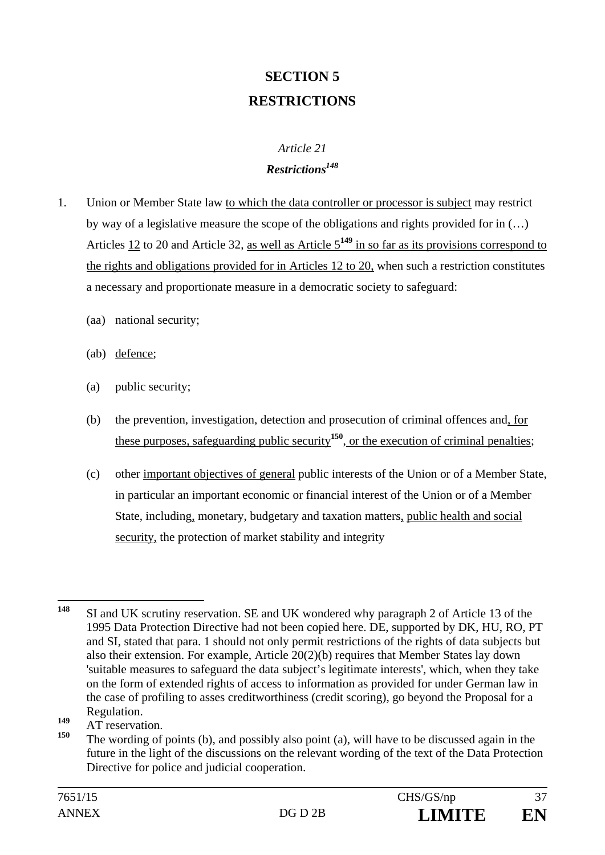# **SECTION 5 RESTRICTIONS**

### *Article 21 Restrictions148*

- 1. Union or Member State law to which the data controller or processor is subject may restrict by way of a legislative measure the scope of the obligations and rights provided for in (…) Articles 12 to 20 and Article 32, as well as Article 5**<sup>149</sup>** in so far as its provisions correspond to the rights and obligations provided for in Articles 12 to 20, when such a restriction constitutes a necessary and proportionate measure in a democratic society to safeguard:
	- (aa) national security;
	- (ab) defence;
	- (a) public security;
	- (b) the prevention, investigation, detection and prosecution of criminal offences and, for these purposes, safeguarding public security**<sup>150</sup>**, or the execution of criminal penalties;
	- (c) other important objectives of general public interests of the Union or of a Member State, in particular an important economic or financial interest of the Union or of a Member State, including, monetary, budgetary and taxation matters, public health and social security, the protection of market stability and integrity

**<sup>149</sup>** AT reservation.

<sup>148</sup> SI and UK scrutiny reservation. SE and UK wondered why paragraph 2 of Article 13 of the 1995 Data Protection Directive had not been copied here. DE, supported by DK, HU, RO, PT and SI, stated that para. 1 should not only permit restrictions of the rights of data subjects but also their extension. For example, Article 20(2)(b) requires that Member States lay down 'suitable measures to safeguard the data subject's legitimate interests', which, when they take on the form of extended rights of access to information as provided for under German law in the case of profiling to asses creditworthiness (credit scoring), go beyond the Proposal for a Regulation.

**<sup>150</sup>** The wording of points (b), and possibly also point (a), will have to be discussed again in the future in the light of the discussions on the relevant wording of the text of the Data Protection Directive for police and judicial cooperation.